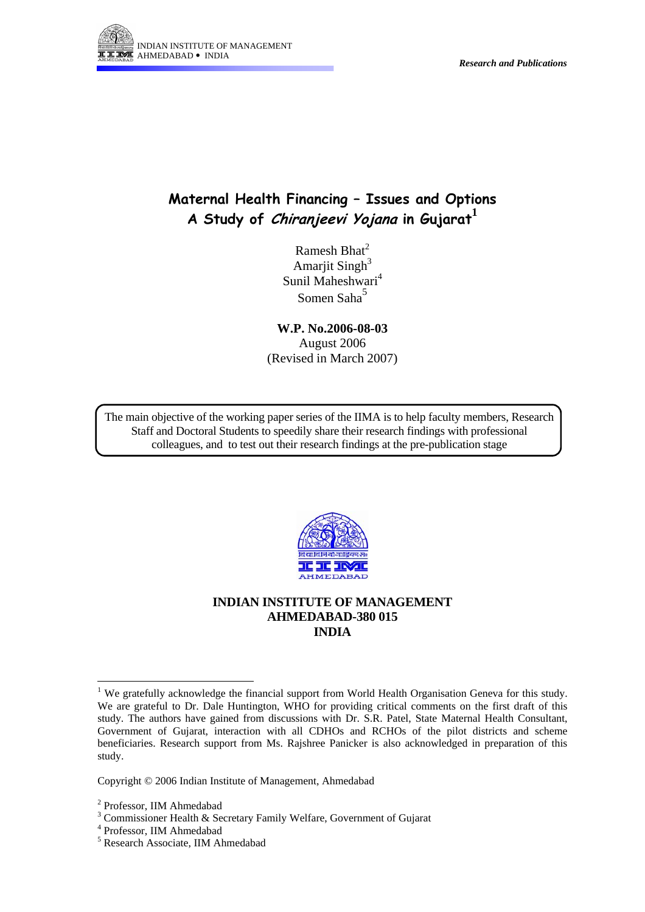

# **Maternal Health Financing – Issues and Options A Study of Chiranjeevi Yojana in Gujarat [1](#page-0-0)**

Ramesh Bhat $<sup>2</sup>$  $<sup>2</sup>$  $<sup>2</sup>$ </sup> Amarjit Singh $3$ Sunil Maheshwari<sup>4</sup> Somen Saha<sup>[5](#page-0-4)</sup>

**W.P. No.2006-08-03**  August 2006 (Revised in March 2007)

The main objective of the working paper series of the IIMA is to help faculty members, Research Staff and Doctoral Students to speedily share their research findings with professional colleagues, and to test out their research findings at the pre-publication stage



**INDIAN INSTITUTE OF MANAGEMENT AHMEDABAD-380 015 INDIA** 

Copyright © 2006 Indian Institute of Management, Ahmedabad

 $\overline{a}$ 

<span id="page-0-0"></span><sup>&</sup>lt;sup>1</sup> We gratefully acknowledge the financial support from World Health Organisation Geneva for this study. We are grateful to Dr. Dale Huntington, WHO for providing critical comments on the first draft of this study. The authors have gained from discussions with Dr. S.R. Patel, State Maternal Health Consultant, Government of Gujarat, interaction with all CDHOs and RCHOs of the pilot districts and scheme beneficiaries. Research support from Ms. Rajshree Panicker is also acknowledged in preparation of this study.

<span id="page-0-1"></span><sup>&</sup>lt;sup>2</sup> Professor, IIM Ahmedabad  $\frac{3}{3}$  Commissioner Hoalth & Soc

<span id="page-0-2"></span><sup>&</sup>lt;sup>3</sup> Commissioner Health & Secretary Family Welfare, Government of Gujarat

<span id="page-0-3"></span><sup>&</sup>lt;sup>4</sup> Professor, IIM Ahmedabad

<span id="page-0-4"></span>Research Associate, IIM Ahmedabad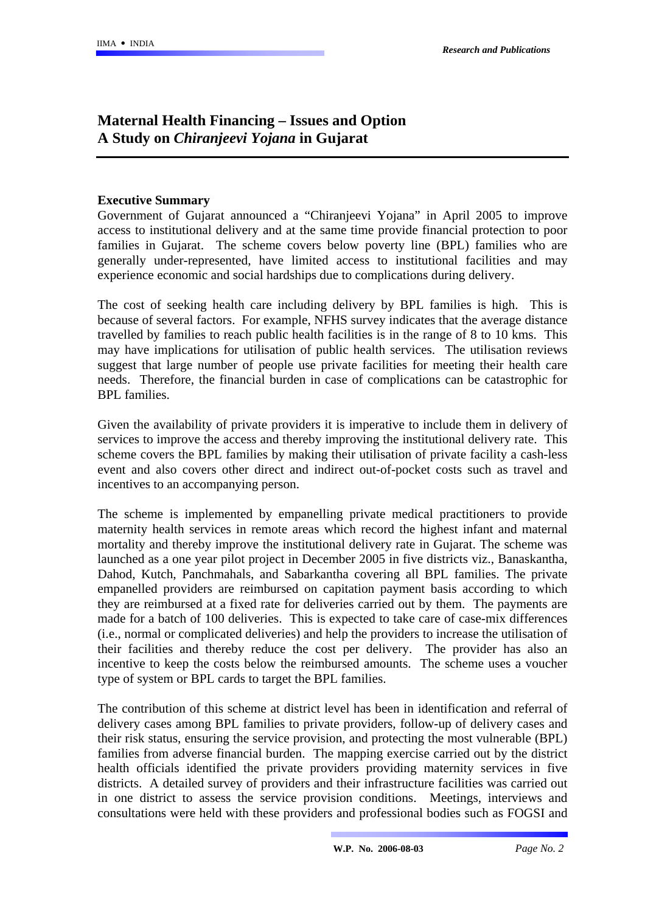## **Maternal Health Financing – Issues and Option A Study on** *Chiranjeevi Yojana* **in Gujarat**

#### **Executive Summary**

Government of Gujarat announced a "Chiranjeevi Yojana" in April 2005 to improve access to institutional delivery and at the same time provide financial protection to poor families in Gujarat. The scheme covers below poverty line (BPL) families who are generally under-represented, have limited access to institutional facilities and may experience economic and social hardships due to complications during delivery.

The cost of seeking health care including delivery by BPL families is high. This is because of several factors. For example, NFHS survey indicates that the average distance travelled by families to reach public health facilities is in the range of 8 to 10 kms. This may have implications for utilisation of public health services. The utilisation reviews suggest that large number of people use private facilities for meeting their health care needs. Therefore, the financial burden in case of complications can be catastrophic for BPL families.

Given the availability of private providers it is imperative to include them in delivery of services to improve the access and thereby improving the institutional delivery rate. This scheme covers the BPL families by making their utilisation of private facility a cash-less event and also covers other direct and indirect out-of-pocket costs such as travel and incentives to an accompanying person.

The scheme is implemented by empanelling private medical practitioners to provide maternity health services in remote areas which record the highest infant and maternal mortality and thereby improve the institutional delivery rate in Gujarat. The scheme was launched as a one year pilot project in December 2005 in five districts viz., Banaskantha, Dahod, Kutch, Panchmahals, and Sabarkantha covering all BPL families. The private empanelled providers are reimbursed on capitation payment basis according to which they are reimbursed at a fixed rate for deliveries carried out by them. The payments are made for a batch of 100 deliveries. This is expected to take care of case-mix differences (i.e., normal or complicated deliveries) and help the providers to increase the utilisation of their facilities and thereby reduce the cost per delivery. The provider has also an incentive to keep the costs below the reimbursed amounts. The scheme uses a voucher type of system or BPL cards to target the BPL families.

The contribution of this scheme at district level has been in identification and referral of delivery cases among BPL families to private providers, follow-up of delivery cases and their risk status, ensuring the service provision, and protecting the most vulnerable (BPL) families from adverse financial burden. The mapping exercise carried out by the district health officials identified the private providers providing maternity services in five districts. A detailed survey of providers and their infrastructure facilities was carried out in one district to assess the service provision conditions. Meetings, interviews and consultations were held with these providers and professional bodies such as FOGSI and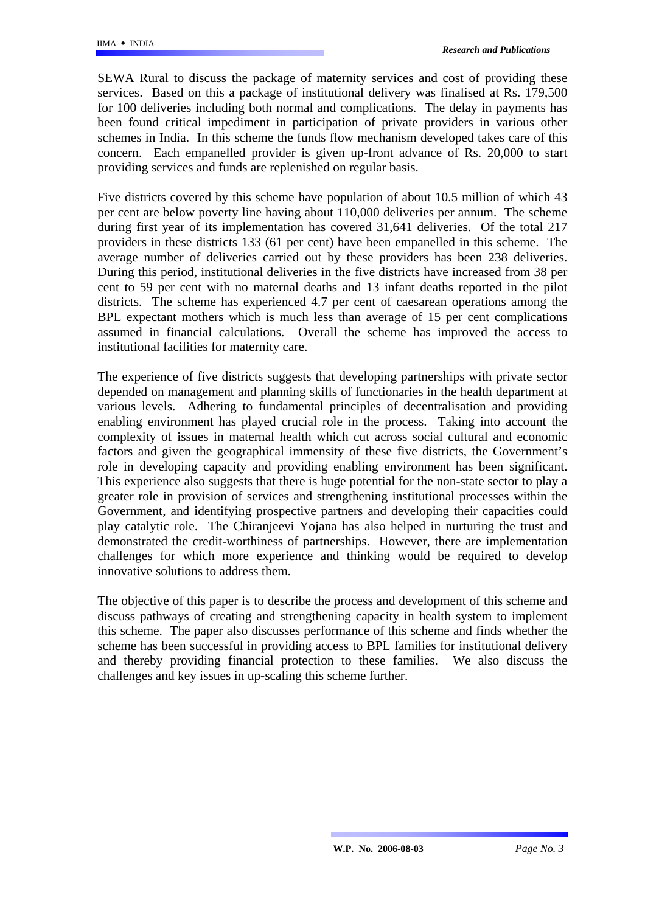SEWA Rural to discuss the package of maternity services and cost of providing these services. Based on this a package of institutional delivery was finalised at Rs. 179,500 for 100 deliveries including both normal and complications. The delay in payments has been found critical impediment in participation of private providers in various other schemes in India. In this scheme the funds flow mechanism developed takes care of this concern. Each empanelled provider is given up-front advance of Rs. 20,000 to start providing services and funds are replenished on regular basis.

Five districts covered by this scheme have population of about 10.5 million of which 43 per cent are below poverty line having about 110,000 deliveries per annum. The scheme during first year of its implementation has covered 31,641 deliveries. Of the total 217 providers in these districts 133 (61 per cent) have been empanelled in this scheme. The average number of deliveries carried out by these providers has been 238 deliveries. During this period, institutional deliveries in the five districts have increased from 38 per cent to 59 per cent with no maternal deaths and 13 infant deaths reported in the pilot districts. The scheme has experienced 4.7 per cent of caesarean operations among the BPL expectant mothers which is much less than average of 15 per cent complications assumed in financial calculations. Overall the scheme has improved the access to institutional facilities for maternity care.

The experience of five districts suggests that developing partnerships with private sector depended on management and planning skills of functionaries in the health department at various levels. Adhering to fundamental principles of decentralisation and providing enabling environment has played crucial role in the process. Taking into account the complexity of issues in maternal health which cut across social cultural and economic factors and given the geographical immensity of these five districts, the Government's role in developing capacity and providing enabling environment has been significant. This experience also suggests that there is huge potential for the non-state sector to play a greater role in provision of services and strengthening institutional processes within the Government, and identifying prospective partners and developing their capacities could play catalytic role. The Chiranjeevi Yojana has also helped in nurturing the trust and demonstrated the credit-worthiness of partnerships. However, there are implementation challenges for which more experience and thinking would be required to develop innovative solutions to address them.

The objective of this paper is to describe the process and development of this scheme and discuss pathways of creating and strengthening capacity in health system to implement this scheme. The paper also discusses performance of this scheme and finds whether the scheme has been successful in providing access to BPL families for institutional delivery and thereby providing financial protection to these families. We also discuss the challenges and key issues in up-scaling this scheme further.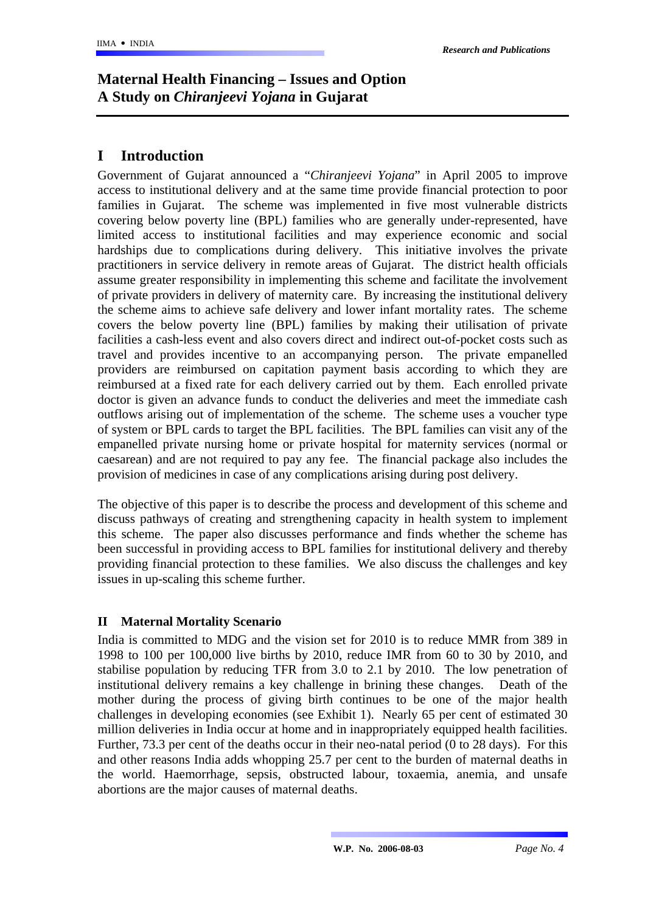# **Maternal Health Financing – Issues and Option A Study on** *Chiranjeevi Yojana* **in Gujarat**

## **I Introduction**

Government of Gujarat announced a "*Chiranjeevi Yojana*" in April 2005 to improve access to institutional delivery and at the same time provide financial protection to poor families in Gujarat. The scheme was implemented in five most vulnerable districts covering below poverty line (BPL) families who are generally under-represented, have limited access to institutional facilities and may experience economic and social hardships due to complications during delivery. This initiative involves the private practitioners in service delivery in remote areas of Gujarat. The district health officials assume greater responsibility in implementing this scheme and facilitate the involvement of private providers in delivery of maternity care. By increasing the institutional delivery the scheme aims to achieve safe delivery and lower infant mortality rates. The scheme covers the below poverty line (BPL) families by making their utilisation of private facilities a cash-less event and also covers direct and indirect out-of-pocket costs such as travel and provides incentive to an accompanying person. The private empanelled providers are reimbursed on capitation payment basis according to which they are reimbursed at a fixed rate for each delivery carried out by them. Each enrolled private doctor is given an advance funds to conduct the deliveries and meet the immediate cash outflows arising out of implementation of the scheme. The scheme uses a voucher type of system or BPL cards to target the BPL facilities. The BPL families can visit any of the empanelled private nursing home or private hospital for maternity services (normal or caesarean) and are not required to pay any fee. The financial package also includes the provision of medicines in case of any complications arising during post delivery.

The objective of this paper is to describe the process and development of this scheme and discuss pathways of creating and strengthening capacity in health system to implement this scheme. The paper also discusses performance and finds whether the scheme has been successful in providing access to BPL families for institutional delivery and thereby providing financial protection to these families. We also discuss the challenges and key issues in up-scaling this scheme further.

## **II Maternal Mortality Scenario**

India is committed to MDG and the vision set for 2010 is to reduce MMR from 389 in 1998 to 100 per 100,000 live births by 2010, reduce IMR from 60 to 30 by 2010, and stabilise population by reducing TFR from 3.0 to 2.1 by 2010. The low penetration of institutional delivery remains a key challenge in brining these changes. Death of the mother during the process of giving birth continues to be one of the major health challenges in developing economies (see Exhibit 1). Nearly 65 per cent of estimated 30 million deliveries in India occur at home and in inappropriately equipped health facilities. Further, 73.3 per cent of the deaths occur in their neo-natal period (0 to 28 days). For this and other reasons India adds whopping 25.7 per cent to the burden of maternal deaths in the world. Haemorrhage, sepsis, obstructed labour, toxaemia, anemia, and unsafe abortions are the major causes of maternal deaths.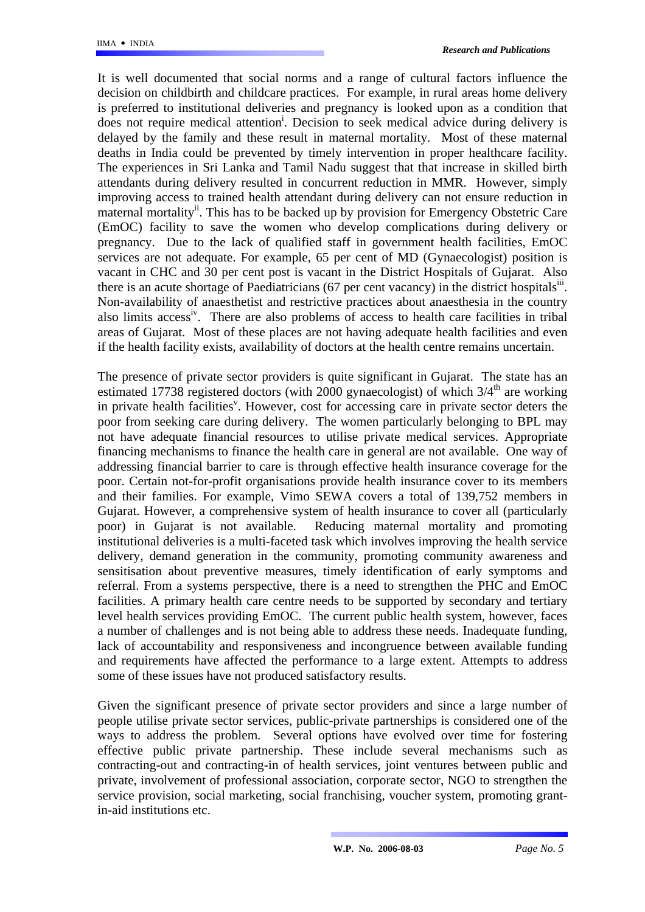It is well documented that social norms and a range of cultural factors influence the decision on childbirth and childcare practices. For example, in rural areas home delivery is preferred to institutional deliveries and pregnancy is looked upon as a condition that does not require medical attention<sup>i</sup>[.](#page-38-0) Decision to seek medical advice during delivery is delayed by the family and these result in maternal mortality. Most of these maternal deaths in India could be prevented by timely intervention in proper healthcare facility. The experiences in Sri Lanka and Tamil Nadu suggest that that increase in skilled birth attendants during delivery resulted in concurrent reduction in MMR. However, simply improving access to trained health attendant during delivery can not ensure reduction in maternal mortality<sup>ii</sup>. This has to be backed up by provision for Emergency Obstetric Care (EmOC) facility to save the women who develop complications during delivery or pregnancy. Due to the lack of qualified staff in government health facilities, EmOC services are not adequate. For example, 65 per cent of MD (Gynaecologist) position is vacant in CHC and 30 per cent post is vacant in the District Hospitals of Gujarat.Also there is an acute shortage of Paediatricians (67 per cent vacancy) in the district hospitals<sup>iii</sup>. Non-availability of anaesthetist and restrictive practices about anaesthesia in the country also limits acces[siv.](#page-38-3) There are also problems of access to health care facilities in tribal areas of Gujarat. Most of these places are not having adequate health facilities and even if the health facility exists, availability of doctors at the health centre remains uncertain.

The presence of private sector providers is quite significant in Gujarat. The state has an estimated 17738 registered doctors (with 2000 gynaecologist) of which  $3/4<sup>th</sup>$  are working in private health facilities<sup>v</sup>. However, cost for accessing care in private sector deters the poor from seeking care during delivery. The women particularly belonging to BPL may not have adequate financial resources to utilise private medical services. Appropriate financing mechanisms to finance the health care in general are not available. One way of addressing financial barrier to care is through effective health insurance coverage for the poor. Certain not-for-profit organisations provide health insurance cover to its members and their families. For example, Vimo SEWA covers a total of 139,752 members in Gujarat. However, a comprehensive system of health insurance to cover all (particularly poor) in Gujarat is not available. Reducing maternal mortality and promoting institutional deliveries is a multi-faceted task which involves improving the health service delivery, demand generation in the community, promoting community awareness and sensitisation about preventive measures, timely identification of early symptoms and referral. From a systems perspective, there is a need to strengthen the PHC and EmOC facilities. A primary health care centre needs to be supported by secondary and tertiary level health services providing EmOC. The current public health system, however, faces a number of challenges and is not being able to address these needs. Inadequate funding, lack of accountability and responsiveness and incongruence between available funding and requirements have affected the performance to a large extent. Attempts to address some of these issues have not produced satisfactory results.

Given the significant presence of private sector providers and since a large number of people utilise private sector services, public-private partnerships is considered one of the ways to address the problem. Several options have evolved over time for fostering effective public private partnership. These include several mechanisms such as contracting-out and contracting-in of health services, joint ventures between public and private, involvement of professional association, corporate sector, NGO to strengthen the service provision, social marketing, social franchising, voucher system, promoting grantin-aid institutions etc.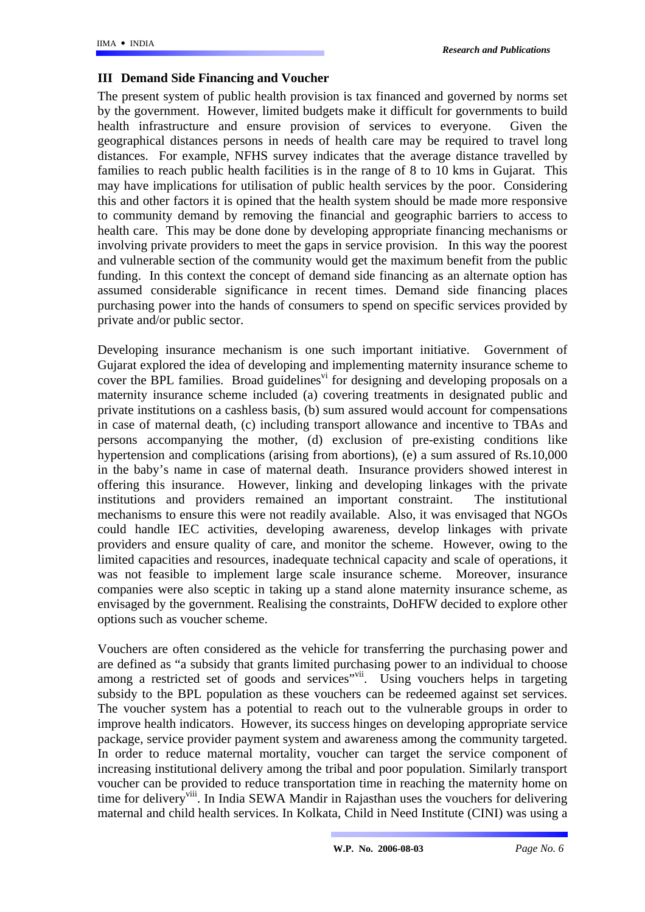#### **III Demand Side Financing and Voucher**

The present system of public health provision is tax financed and governed by norms set by the government. However, limited budgets make it difficult for governments to build health infrastructure and ensure provision of services to everyone. Given the geographical distances persons in needs of health care may be required to travel long distances. For example, NFHS survey indicates that the average distance travelled by families to reach public health facilities is in the range of 8 to 10 kms in Gujarat. This may have implications for utilisation of public health services by the poor. Considering this and other factors it is opined that the health system should be made more responsive to community demand by removing the financial and geographic barriers to access to health care. This may be done done by developing appropriate financing mechanisms or involving private providers to meet the gaps in service provision. In this way the poorest and vulnerable section of the community would get the maximum benefit from the public funding. In this context the concept of demand side financing as an alternate option has assumed considerable significance in recent times. Demand side financing places purchasing power into the hands of consumers to spend on specific services provided by private and/or public sector.

Developing insurance mechanism is one such important initiative. Government of Gujarat explored the idea of developing and implementing maternity insurance scheme to cover the BPL families. Broad guidelines<sup>vi</sup> for designing and developing proposals on a maternity insurance scheme included (a) covering treatments in designated public and private institutions on a cashless basis, (b) sum assured would account for compensations in case of maternal death, (c) including transport allowance and incentive to TBAs and persons accompanying the mother, (d) exclusion of pre-existing conditions like hypertension and complications (arising from abortions), (e) a sum assured of Rs.10,000 in the baby's name in case of maternal death. Insurance providers showed interest in offering this insurance. However, linking and developing linkages with the private institutions and providers remained an important constraint. The institutional mechanisms to ensure this were not readily available. Also, it was envisaged that NGOs could handle IEC activities, developing awareness, develop linkages with private providers and ensure quality of care, and monitor the scheme. However, owing to the limited capacities and resources, inadequate technical capacity and scale of operations, it was not feasible to implement large scale insurance scheme. Moreover, insurance companies were also sceptic in taking up a stand alone maternity insurance scheme, as envisaged by the government. Realising the constraints, DoHFW decided to explore other options such as voucher scheme.

Vouchers are often considered as the vehicle for transferring the purchasing power and are defined as "a subsidy that grants limited purchasing power to an individual to choose among a restricted set of goods and services"<sup>vii</sup>. Using vouchers helps in targeting subsidy to the BPL population as these vouchers can be redeemed against set services. The voucher system has a potential to reach out to the vulnerable groups in order to improve health indicators. However, its success hinges on developing appropriate service package, service provider payment system and awareness among the community targeted. In order to reduce maternal mortality, voucher can target the service component of increasing institutional delivery among the tribal and poor population. Similarly transport voucher can be provided to reduce transportation time in reaching the maternity home on time for delivery<sup>viii</sup>. In India SEWA Mandir in Rajasthan uses the vouchers for delivering maternal and child health services. In Kolkata, Child in Need Institute (CINI) was using a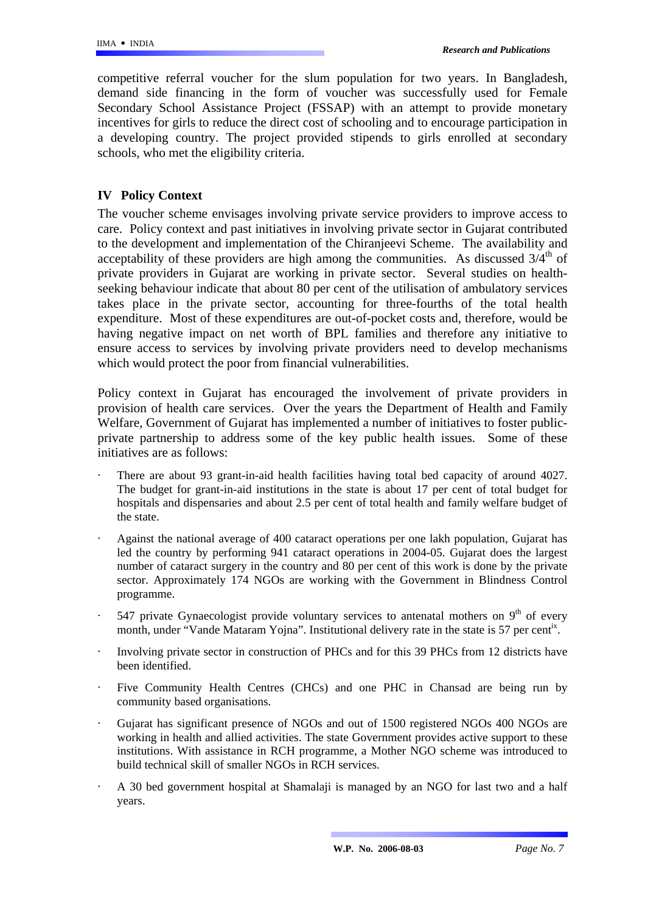competitive referral voucher for the slum population for two years. In Bangladesh, demand side financing in the form of voucher was successfully used for Female Secondary School Assistance Project (FSSAP) with an attempt to provide monetary incentives for girls to reduce the direct cost of schooling and to encourage participation in a developing country. The project provided stipends to girls enrolled at secondary schools, who met the eligibility criteria.

### **IV Policy Context**

The voucher scheme envisages involving private service providers to improve access to care. Policy context and past initiatives in involving private sector in Gujarat contributed to the development and implementation of the Chiranjeevi Scheme. The availability and acceptability of these providers are high among the communities. As discussed  $3/4<sup>th</sup>$  of private providers in Gujarat are working in private sector. Several studies on healthseeking behaviour indicate that about 80 per cent of the utilisation of ambulatory services takes place in the private sector, accounting for three-fourths of the total health expenditure. Most of these expenditures are out-of-pocket costs and, therefore, would be having negative impact on net worth of BPL families and therefore any initiative to ensure access to services by involving private providers need to develop mechanisms which would protect the poor from financial vulnerabilities.

Policy context in Gujarat has encouraged the involvement of private providers in provision of health care services. Over the years the Department of Health and Family Welfare, Government of Gujarat has implemented a number of initiatives to foster publicprivate partnership to address some of the key public health issues. Some of these initiatives are as follows:

- There are about 93 grant-in-aid health facilities having total bed capacity of around 4027. The budget for grant-in-aid institutions in the state is about 17 per cent of total budget for hospitals and dispensaries and about 2.5 per cent of total health and family welfare budget of the state.
- Against the national average of 400 cataract operations per one lakh population, Gujarat has led the country by performing 941 cataract operations in 2004-05. Gujarat does the largest number of cataract surgery in the country and 80 per cent of this work is done by the private sector. Approximately 174 NGOs are working with the Government in Blindness Control programme.
- 547 private Gynaecologist provide voluntary services to antenatal mothers on  $9<sup>th</sup>$  of every month, under "Vande Mataram Yojna". Institutional delivery rate in the state is 57 per cent<sup>ix</sup>.
- · Involving private sector in construction of PHCs and for this 39 PHCs from 12 districts have been identified.
- Five Community Health Centres (CHCs) and one PHC in Chansad are being run by community based organisations.
- · Gujarat has significant presence of NGOs and out of 1500 registered NGOs 400 NGOs are working in health and allied activities. The state Government provides active support to these institutions. With assistance in RCH programme, a Mother NGO scheme was introduced to build technical skill of smaller NGOs in RCH services.
- · A 30 bed government hospital at Shamalaji is managed by an NGO for last two and a half years.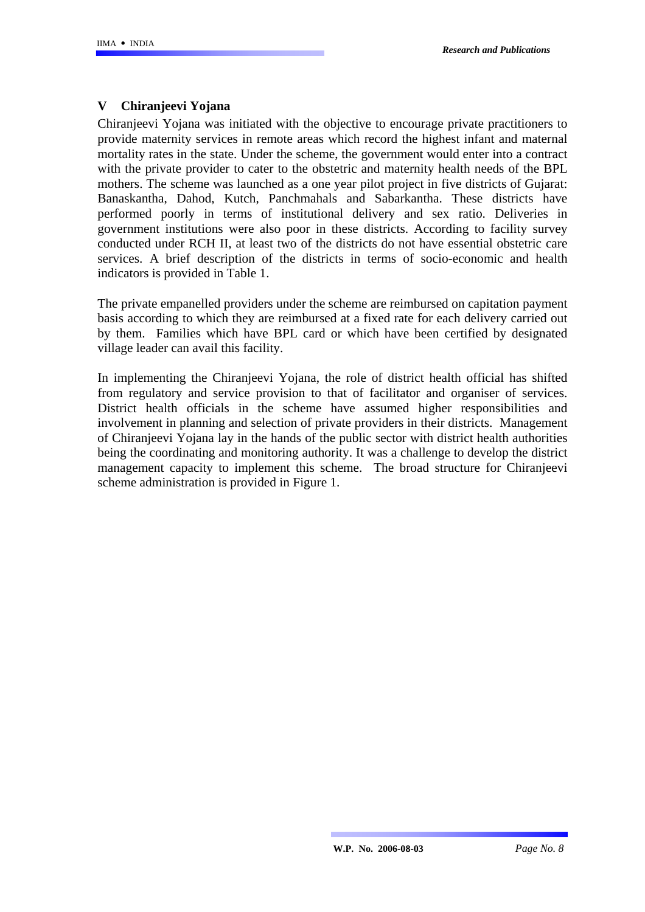## **V Chiranjeevi Yojana**

Chiranjeevi Yojana was initiated with the objective to encourage private practitioners to provide maternity services in remote areas which record the highest infant and maternal mortality rates in the state. Under the scheme, the government would enter into a contract with the private provider to cater to the obstetric and maternity health needs of the BPL mothers. The scheme was launched as a one year pilot project in five districts of Gujarat: Banaskantha, Dahod, Kutch, Panchmahals and Sabarkantha. These districts have performed poorly in terms of institutional delivery and sex ratio. Deliveries in government institutions were also poor in these districts. According to facility survey conducted under RCH II, at least two of the districts do not have essential obstetric care services. A brief description of the districts in terms of socio-economic and health indicators is provided in Table 1.

The private empanelled providers under the scheme are reimbursed on capitation payment basis according to which they are reimbursed at a fixed rate for each delivery carried out by them. Families which have BPL card or which have been certified by designated village leader can avail this facility.

In implementing the Chiranjeevi Yojana, the role of district health official has shifted from regulatory and service provision to that of facilitator and organiser of services. District health officials in the scheme have assumed higher responsibilities and involvement in planning and selection of private providers in their districts. Management of Chiranjeevi Yojana lay in the hands of the public sector with district health authorities being the coordinating and monitoring authority. It was a challenge to develop the district management capacity to implement this scheme. The broad structure for Chiranjeevi scheme administration is provided in Figure 1.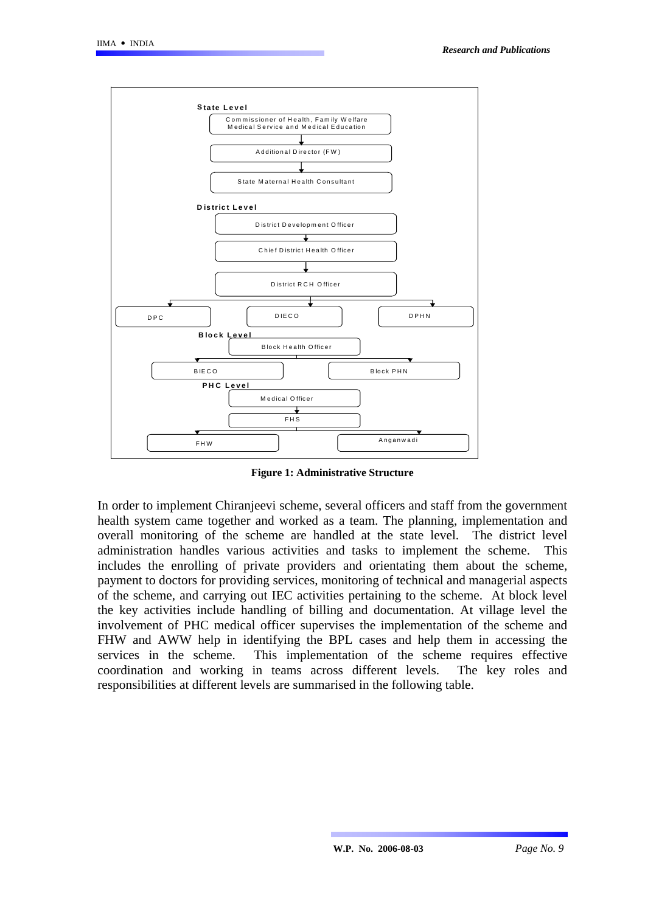

**Figure 1: Administrative Structure** 

In order to implement Chiranjeevi scheme, several officers and staff from the government health system came together and worked as a team. The planning, implementation and overall monitoring of the scheme are handled at the state level. The district level administration handles various activities and tasks to implement the scheme. This includes the enrolling of private providers and orientating them about the scheme, payment to doctors for providing services, monitoring of technical and managerial aspects of the scheme, and carrying out IEC activities pertaining to the scheme. At block level the key activities include handling of billing and documentation. At village level the involvement of PHC medical officer supervises the implementation of the scheme and FHW and AWW help in identifying the BPL cases and help them in accessing the services in the scheme. This implementation of the scheme requires effective coordination and working in teams across different levels. The key roles and responsibilities at different levels are summarised in the following table.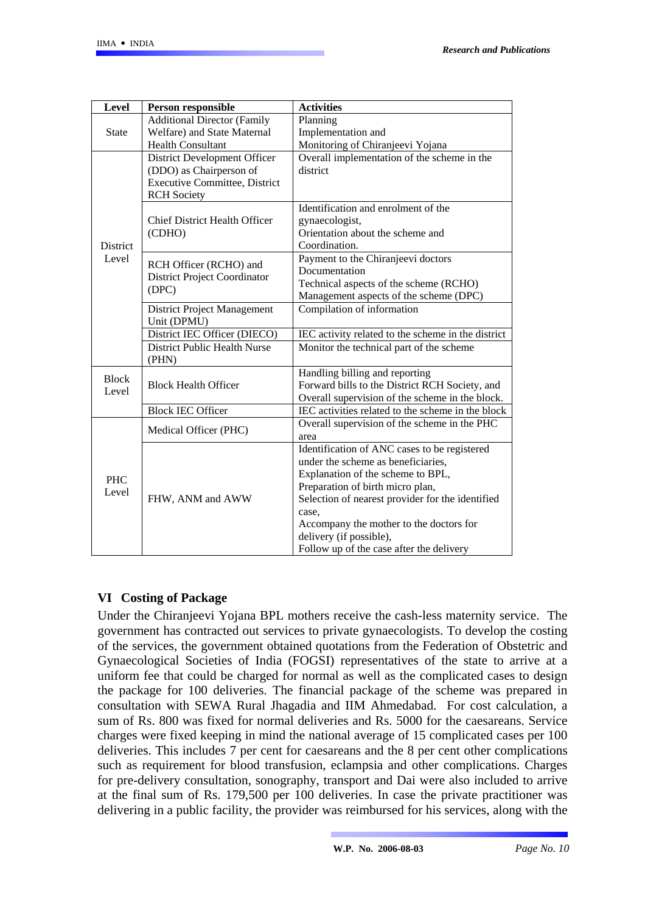| Level               | Person responsible                         | <b>Activities</b>                                  |
|---------------------|--------------------------------------------|----------------------------------------------------|
|                     | <b>Additional Director (Family</b>         | Planning                                           |
| <b>State</b>        | Welfare) and State Maternal                | Implementation and                                 |
|                     | <b>Health Consultant</b>                   | Monitoring of Chiranjeevi Yojana                   |
|                     | District Development Officer               | Overall implementation of the scheme in the        |
|                     | (DDO) as Chairperson of                    | district                                           |
|                     | <b>Executive Committee, District</b>       |                                                    |
|                     | <b>RCH</b> Society                         |                                                    |
|                     |                                            | Identification and enrolment of the                |
|                     | <b>Chief District Health Officer</b>       | gynaecologist,                                     |
|                     | (CDHO)                                     | Orientation about the scheme and                   |
| <b>District</b>     |                                            | Coordination.                                      |
| Level               | RCH Officer (RCHO) and                     | Payment to the Chiranjeevi doctors                 |
|                     | District Project Coordinator               | Documentation                                      |
|                     | (DPC)                                      | Technical aspects of the scheme (RCHO)             |
|                     |                                            | Management aspects of the scheme (DPC)             |
|                     | District Project Management<br>Unit (DPMU) | Compilation of information                         |
|                     | District IEC Officer (DIECO)               | IEC activity related to the scheme in the district |
|                     | District Public Health Nurse<br>(PHN)      | Monitor the technical part of the scheme           |
| <b>Block</b>        |                                            | Handling billing and reporting                     |
| Level               | <b>Block Health Officer</b>                | Forward bills to the District RCH Society, and     |
|                     |                                            | Overall supervision of the scheme in the block.    |
|                     | <b>Block IEC Officer</b>                   | IEC activities related to the scheme in the block  |
|                     | Medical Officer (PHC)                      | Overall supervision of the scheme in the PHC       |
|                     |                                            | area                                               |
|                     |                                            | Identification of ANC cases to be registered       |
|                     |                                            | under the scheme as beneficiaries.                 |
| <b>PHC</b><br>Level |                                            | Explanation of the scheme to BPL,                  |
|                     |                                            | Preparation of birth micro plan,                   |
|                     | FHW, ANM and AWW                           | Selection of nearest provider for the identified   |
|                     |                                            | case.                                              |
|                     |                                            | Accompany the mother to the doctors for            |
|                     |                                            | delivery (if possible),                            |
|                     |                                            | Follow up of the case after the delivery           |

### **VI Costing of Package**

Under the Chiranjeevi Yojana BPL mothers receive the cash-less maternity service. The government has contracted out services to private gynaecologists. To develop the costing of the services, the government obtained quotations from the Federation of Obstetric and Gynaecological Societies of India (FOGSI) representatives of the state to arrive at a uniform fee that could be charged for normal as well as the complicated cases to design the package for 100 deliveries. The financial package of the scheme was prepared in consultation with SEWA Rural Jhagadia and IIM Ahmedabad. For cost calculation, a sum of Rs. 800 was fixed for normal deliveries and Rs. 5000 for the caesareans. Service charges were fixed keeping in mind the national average of 15 complicated cases per 100 deliveries. This includes 7 per cent for caesareans and the 8 per cent other complications such as requirement for blood transfusion, eclampsia and other complications. Charges for pre-delivery consultation, sonography, transport and Dai were also included to arrive at the final sum of Rs. 179,500 per 100 deliveries. In case the private practitioner was delivering in a public facility, the provider was reimbursed for his services, along with the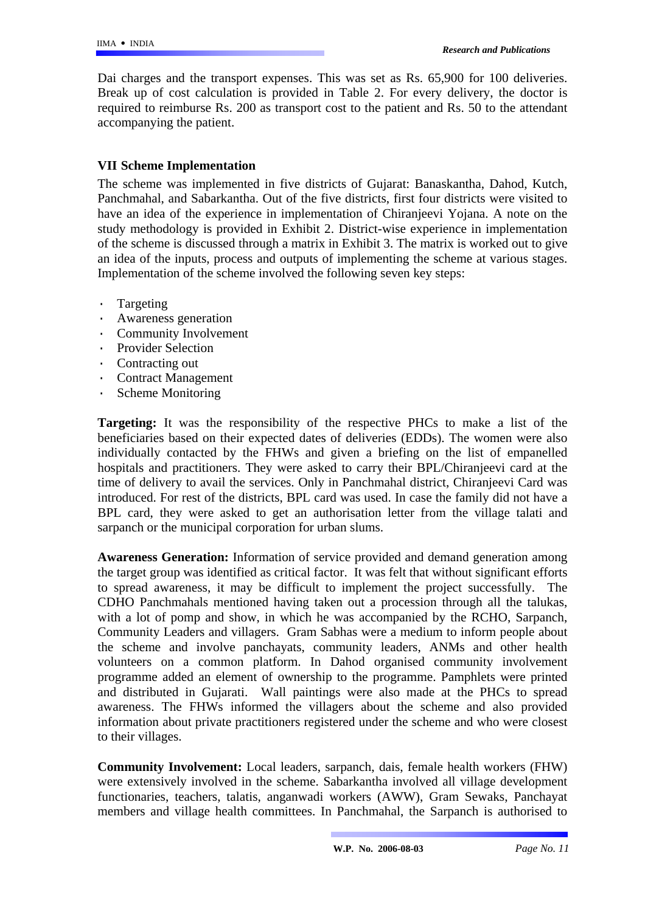Dai charges and the transport expenses. This was set as Rs. 65,900 for 100 deliveries. Break up of cost calculation is provided in Table 2. For every delivery, the doctor is required to reimburse Rs. 200 as transport cost to the patient and Rs. 50 to the attendant accompanying the patient.

### **VII Scheme Implementation**

The scheme was implemented in five districts of Gujarat: Banaskantha, Dahod, Kutch, Panchmahal, and Sabarkantha. Out of the five districts, first four districts were visited to have an idea of the experience in implementation of Chiranjeevi Yojana. A note on the study methodology is provided in Exhibit 2. District-wise experience in implementation of the scheme is discussed through a matrix in Exhibit 3. The matrix is worked out to give an idea of the inputs, process and outputs of implementing the scheme at various stages. Implementation of the scheme involved the following seven key steps:

- · Targeting
- · Awareness generation
- Community Involvement
- · Provider Selection
- · Contracting out
- · Contract Management
- · Scheme Monitoring

**Targeting:** It was the responsibility of the respective PHCs to make a list of the beneficiaries based on their expected dates of deliveries (EDDs). The women were also individually contacted by the FHWs and given a briefing on the list of empanelled hospitals and practitioners. They were asked to carry their BPL/Chiranjeevi card at the time of delivery to avail the services. Only in Panchmahal district, Chiranjeevi Card was introduced. For rest of the districts, BPL card was used. In case the family did not have a BPL card, they were asked to get an authorisation letter from the village talati and sarpanch or the municipal corporation for urban slums.

**Awareness Generation:** Information of service provided and demand generation among the target group was identified as critical factor. It was felt that without significant efforts to spread awareness, it may be difficult to implement the project successfully. The CDHO Panchmahals mentioned having taken out a procession through all the talukas, with a lot of pomp and show, in which he was accompanied by the RCHO, Sarpanch, Community Leaders and villagers. Gram Sabhas were a medium to inform people about the scheme and involve panchayats, community leaders, ANMs and other health volunteers on a common platform. In Dahod organised community involvement programme added an element of ownership to the programme. Pamphlets were printed and distributed in Gujarati. Wall paintings were also made at the PHCs to spread awareness. The FHWs informed the villagers about the scheme and also provided information about private practitioners registered under the scheme and who were closest to their villages.

**Community Involvement:** Local leaders, sarpanch, dais, female health workers (FHW) were extensively involved in the scheme. Sabarkantha involved all village development functionaries, teachers, talatis, anganwadi workers (AWW), Gram Sewaks, Panchayat members and village health committees. In Panchmahal, the Sarpanch is authorised to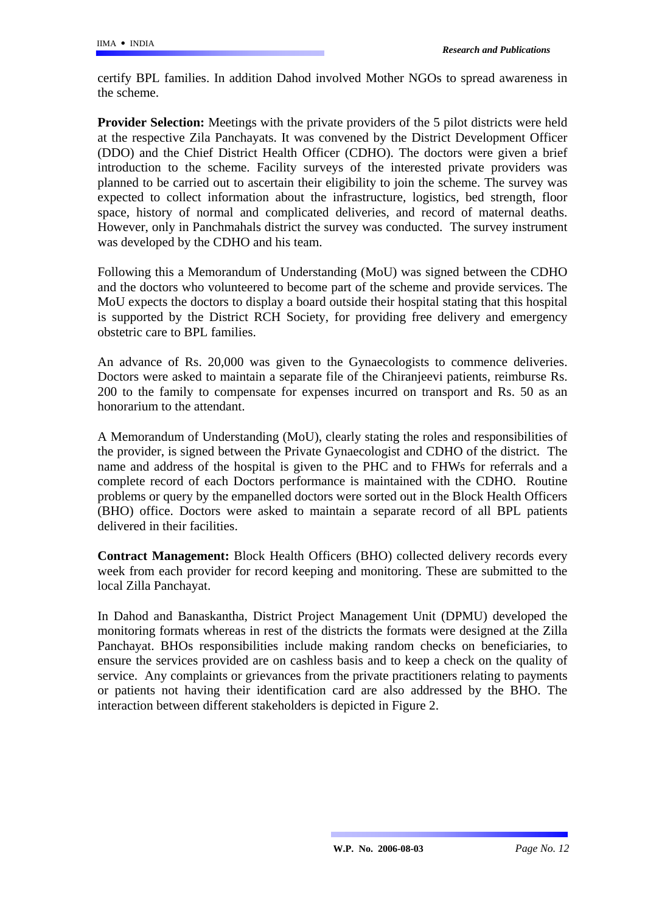certify BPL families. In addition Dahod involved Mother NGOs to spread awareness in the scheme.

**Provider Selection:** Meetings with the private providers of the 5 pilot districts were held at the respective Zila Panchayats. It was convened by the District Development Officer (DDO) and the Chief District Health Officer (CDHO). The doctors were given a brief introduction to the scheme. Facility surveys of the interested private providers was planned to be carried out to ascertain their eligibility to join the scheme. The survey was expected to collect information about the infrastructure, logistics, bed strength, floor space, history of normal and complicated deliveries, and record of maternal deaths. However, only in Panchmahals district the survey was conducted. The survey instrument was developed by the CDHO and his team.

Following this a Memorandum of Understanding (MoU) was signed between the CDHO and the doctors who volunteered to become part of the scheme and provide services. The MoU expects the doctors to display a board outside their hospital stating that this hospital is supported by the District RCH Society, for providing free delivery and emergency obstetric care to BPL families.

An advance of Rs. 20,000 was given to the Gynaecologists to commence deliveries. Doctors were asked to maintain a separate file of the Chiranjeevi patients, reimburse Rs. 200 to the family to compensate for expenses incurred on transport and Rs. 50 as an honorarium to the attendant.

A Memorandum of Understanding (MoU), clearly stating the roles and responsibilities of the provider, is signed between the Private Gynaecologist and CDHO of the district. The name and address of the hospital is given to the PHC and to FHWs for referrals and a complete record of each Doctors performance is maintained with the CDHO. Routine problems or query by the empanelled doctors were sorted out in the Block Health Officers (BHO) office. Doctors were asked to maintain a separate record of all BPL patients delivered in their facilities.

**Contract Management:** Block Health Officers (BHO) collected delivery records every week from each provider for record keeping and monitoring. These are submitted to the local Zilla Panchayat.

In Dahod and Banaskantha, District Project Management Unit (DPMU) developed the monitoring formats whereas in rest of the districts the formats were designed at the Zilla Panchayat. BHOs responsibilities include making random checks on beneficiaries, to ensure the services provided are on cashless basis and to keep a check on the quality of service. Any complaints or grievances from the private practitioners relating to payments or patients not having their identification card are also addressed by the BHO. The interaction between different stakeholders is depicted in Figure 2.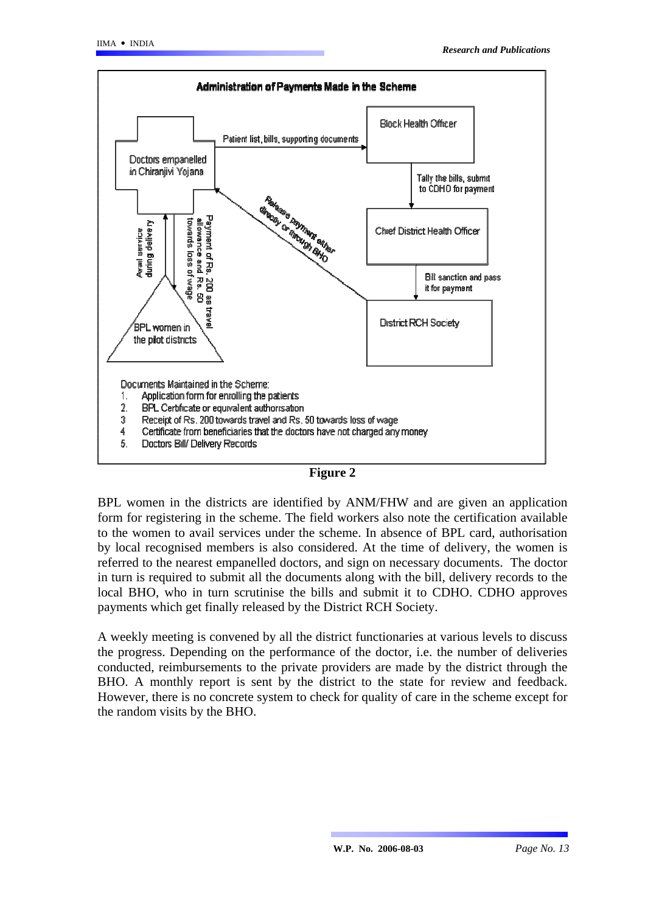



BPL women in the districts are identified by ANM/FHW and are given an application form for registering in the scheme. The field workers also note the certification available to the women to avail services under the scheme. In absence of BPL card, authorisation by local recognised members is also considered. At the time of delivery, the women is referred to the nearest empanelled doctors, and sign on necessary documents. The doctor in turn is required to submit all the documents along with the bill, delivery records to the local BHO, who in turn scrutinise the bills and submit it to CDHO. CDHO approves payments which get finally released by the District RCH Society.

A weekly meeting is convened by all the district functionaries at various levels to discuss the progress. Depending on the performance of the doctor, i.e. the number of deliveries conducted, reimbursements to the private providers are made by the district through the BHO. A monthly report is sent by the district to the state for review and feedback. However, there is no concrete system to check for quality of care in the scheme except for the random visits by the BHO.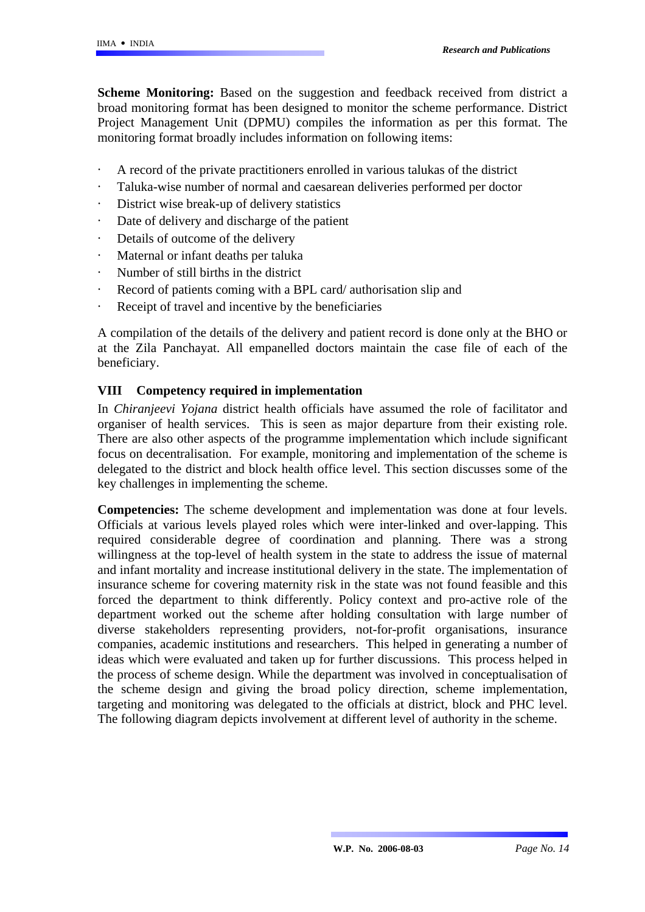**Scheme Monitoring:** Based on the suggestion and feedback received from district a broad monitoring format has been designed to monitor the scheme performance. District Project Management Unit (DPMU) compiles the information as per this format. The monitoring format broadly includes information on following items:

- · A record of the private practitioners enrolled in various talukas of the district
- · Taluka-wise number of normal and caesarean deliveries performed per doctor
- · District wise break-up of delivery statistics
- · Date of delivery and discharge of the patient
- · Details of outcome of the delivery
- · Maternal or infant deaths per taluka
- · Number of still births in the district
- · Record of patients coming with a BPL card/ authorisation slip and
- · Receipt of travel and incentive by the beneficiaries

A compilation of the details of the delivery and patient record is done only at the BHO or at the Zila Panchayat. All empanelled doctors maintain the case file of each of the beneficiary.

### **VIII Competency required in implementation**

In *Chiranjeevi Yojana* district health officials have assumed the role of facilitator and organiser of health services. This is seen as major departure from their existing role. There are also other aspects of the programme implementation which include significant focus on decentralisation. For example, monitoring and implementation of the scheme is delegated to the district and block health office level. This section discusses some of the key challenges in implementing the scheme.

**Competencies:** The scheme development and implementation was done at four levels. Officials at various levels played roles which were inter-linked and over-lapping. This required considerable degree of coordination and planning. There was a strong willingness at the top-level of health system in the state to address the issue of maternal and infant mortality and increase institutional delivery in the state. The implementation of insurance scheme for covering maternity risk in the state was not found feasible and this forced the department to think differently. Policy context and pro-active role of the department worked out the scheme after holding consultation with large number of diverse stakeholders representing providers, not-for-profit organisations, insurance companies, academic institutions and researchers. This helped in generating a number of ideas which were evaluated and taken up for further discussions. This process helped in the process of scheme design. While the department was involved in conceptualisation of the scheme design and giving the broad policy direction, scheme implementation, targeting and monitoring was delegated to the officials at district, block and PHC level. The following diagram depicts involvement at different level of authority in the scheme.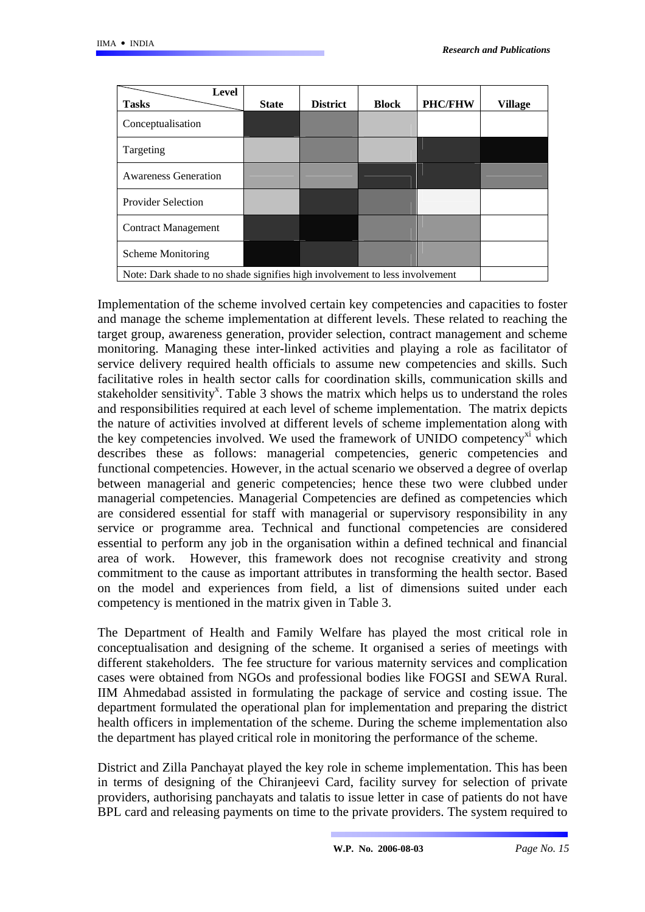| <b>Level</b><br><b>Tasks</b>                                                | <b>State</b> | <b>District</b> | <b>Block</b> | <b>PHC/FHW</b> | <b>Village</b> |
|-----------------------------------------------------------------------------|--------------|-----------------|--------------|----------------|----------------|
| Conceptualisation                                                           |              |                 |              |                |                |
| Targeting                                                                   |              |                 |              |                |                |
| <b>Awareness Generation</b>                                                 |              |                 |              |                |                |
| <b>Provider Selection</b>                                                   |              |                 |              |                |                |
| <b>Contract Management</b>                                                  |              |                 |              |                |                |
| <b>Scheme Monitoring</b>                                                    |              |                 |              |                |                |
| Note: Dark shade to no shade signifies high involvement to less involvement |              |                 |              |                |                |

Implementation of the scheme involved certain key competencies and capacities to foster and manage the scheme implementation at different levels. These related to reaching the target group, awareness generation, provider selection, contract management and scheme monitoring. Managing these inter-linked activities and playing a role as facilitator of service delivery required health officials to assume new competencies and skills. Such facilitative roles in health sector calls for coordination skills, communication skills and stakeholder sensitivity<sup>x</sup>. Table 3 shows the matrix which helps us to understand the roles and responsibilities required at each level of scheme implementation. The matrix depicts the nature of activities involved at different levels of scheme implementation along with the key competencies involved. We used the framework of UNIDO competency $^{x_1}$  which describes these as follows: managerial competencies, generic competencies and functional competencies. However, in the actual scenario we observed a degree of overlap between managerial and generic competencies; hence these two were clubbed under managerial competencies. Managerial Competencies are defined as competencies which are considered essential for staff with managerial or supervisory responsibility in any service or programme area. Technical and functional competencies are considered essential to perform any job in the organisation within a defined technical and financial area of work. However, this framework does not recognise creativity and strong commitment to the cause as important attributes in transforming the health sector. Based on the model and experiences from field, a list of dimensions suited under each competency is mentioned in the matrix given in Table 3.

The Department of Health and Family Welfare has played the most critical role in conceptualisation and designing of the scheme. It organised a series of meetings with different stakeholders. The fee structure for various maternity services and complication cases were obtained from NGOs and professional bodies like FOGSI and SEWA Rural. IIM Ahmedabad assisted in formulating the package of service and costing issue. The department formulated the operational plan for implementation and preparing the district health officers in implementation of the scheme. During the scheme implementation also the department has played critical role in monitoring the performance of the scheme.

District and Zilla Panchayat played the key role in scheme implementation. This has been in terms of designing of the Chiranjeevi Card, facility survey for selection of private providers, authorising panchayats and talatis to issue letter in case of patients do not have BPL card and releasing payments on time to the private providers. The system required to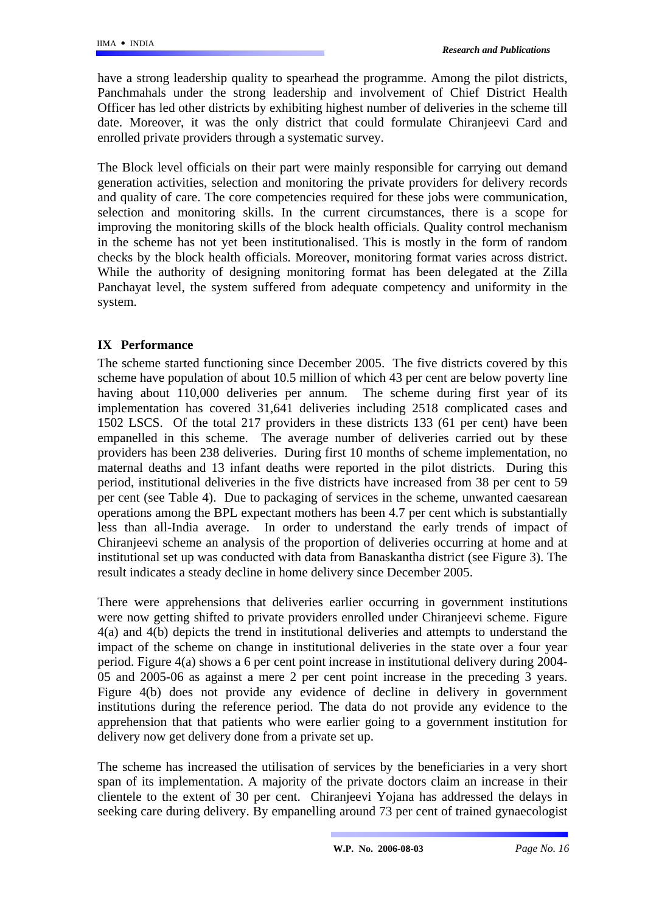have a strong leadership quality to spearhead the programme. Among the pilot districts, Panchmahals under the strong leadership and involvement of Chief District Health Officer has led other districts by exhibiting highest number of deliveries in the scheme till date. Moreover, it was the only district that could formulate Chiranjeevi Card and enrolled private providers through a systematic survey.

The Block level officials on their part were mainly responsible for carrying out demand generation activities, selection and monitoring the private providers for delivery records and quality of care. The core competencies required for these jobs were communication, selection and monitoring skills. In the current circumstances, there is a scope for improving the monitoring skills of the block health officials. Quality control mechanism in the scheme has not yet been institutionalised. This is mostly in the form of random checks by the block health officials. Moreover, monitoring format varies across district. While the authority of designing monitoring format has been delegated at the Zilla Panchayat level, the system suffered from adequate competency and uniformity in the system.

### **IX Performance**

The scheme started functioning since December 2005. The five districts covered by this scheme have population of about 10.5 million of which 43 per cent are below poverty line having about 110,000 deliveries per annum. The scheme during first year of its implementation has covered 31,641 deliveries including 2518 complicated cases and 1502 LSCS. Of the total 217 providers in these districts 133 (61 per cent) have been empanelled in this scheme. The average number of deliveries carried out by these providers has been 238 deliveries. During first 10 months of scheme implementation, no maternal deaths and 13 infant deaths were reported in the pilot districts. During this period, institutional deliveries in the five districts have increased from 38 per cent to 59 per cent (see Table 4). Due to packaging of services in the scheme, unwanted caesarean operations among the BPL expectant mothers has been 4.7 per cent which is substantially less than all-India average. In order to understand the early trends of impact of Chiranjeevi scheme an analysis of the proportion of deliveries occurring at home and at institutional set up was conducted with data from Banaskantha district (see Figure 3). The result indicates a steady decline in home delivery since December 2005.

There were apprehensions that deliveries earlier occurring in government institutions were now getting shifted to private providers enrolled under Chiranjeevi scheme. Figure 4(a) and 4(b) depicts the trend in institutional deliveries and attempts to understand the impact of the scheme on change in institutional deliveries in the state over a four year period. Figure 4(a) shows a 6 per cent point increase in institutional delivery during 2004- 05 and 2005-06 as against a mere 2 per cent point increase in the preceding 3 years. Figure 4(b) does not provide any evidence of decline in delivery in government institutions during the reference period. The data do not provide any evidence to the apprehension that that patients who were earlier going to a government institution for delivery now get delivery done from a private set up.

The scheme has increased the utilisation of services by the beneficiaries in a very short span of its implementation. A majority of the private doctors claim an increase in their clientele to the extent of 30 per cent. Chiranjeevi Yojana has addressed the delays in seeking care during delivery. By empanelling around 73 per cent of trained gynaecologist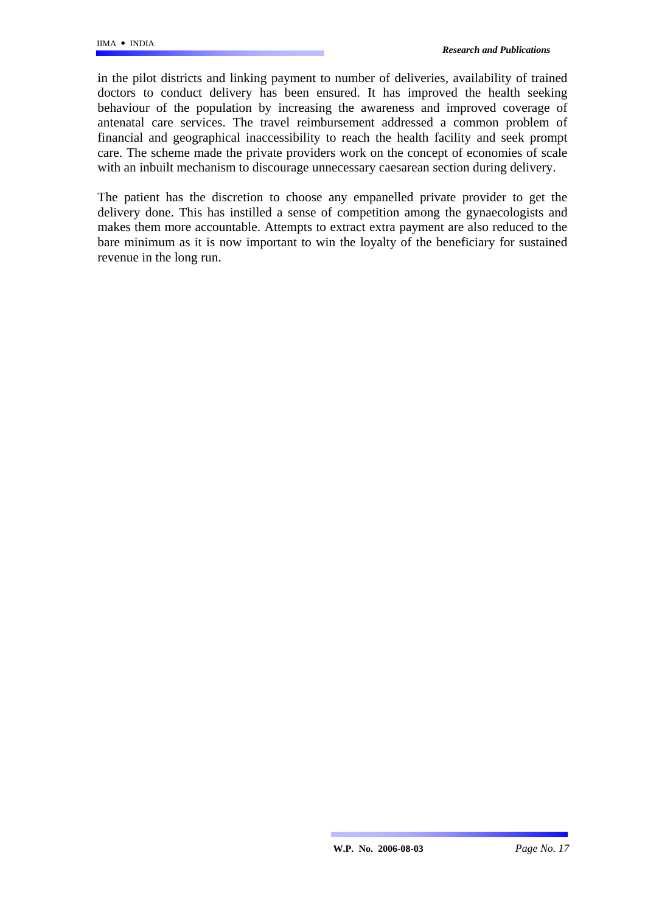in the pilot districts and linking payment to number of deliveries, availability of trained doctors to conduct delivery has been ensured. It has improved the health seeking behaviour of the population by increasing the awareness and improved coverage of antenatal care services. The travel reimbursement addressed a common problem of financial and geographical inaccessibility to reach the health facility and seek prompt care. The scheme made the private providers work on the concept of economies of scale with an inbuilt mechanism to discourage unnecessary caesarean section during delivery.

The patient has the discretion to choose any empanelled private provider to get the delivery done. This has instilled a sense of competition among the gynaecologists and makes them more accountable. Attempts to extract extra payment are also reduced to the bare minimum as it is now important to win the loyalty of the beneficiary for sustained revenue in the long run.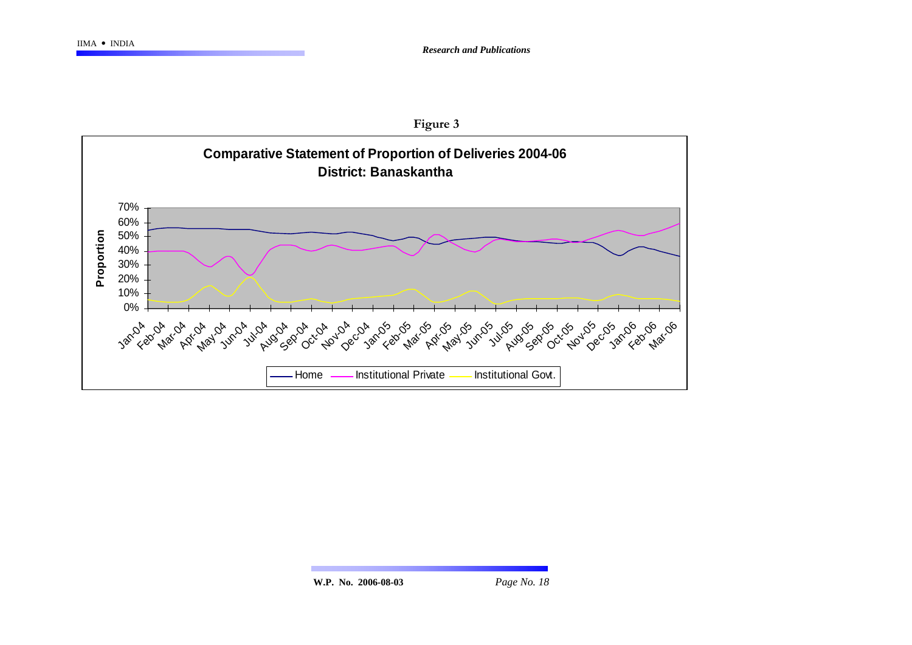

**W.P. No. 2006-08-03** *Page No. 18*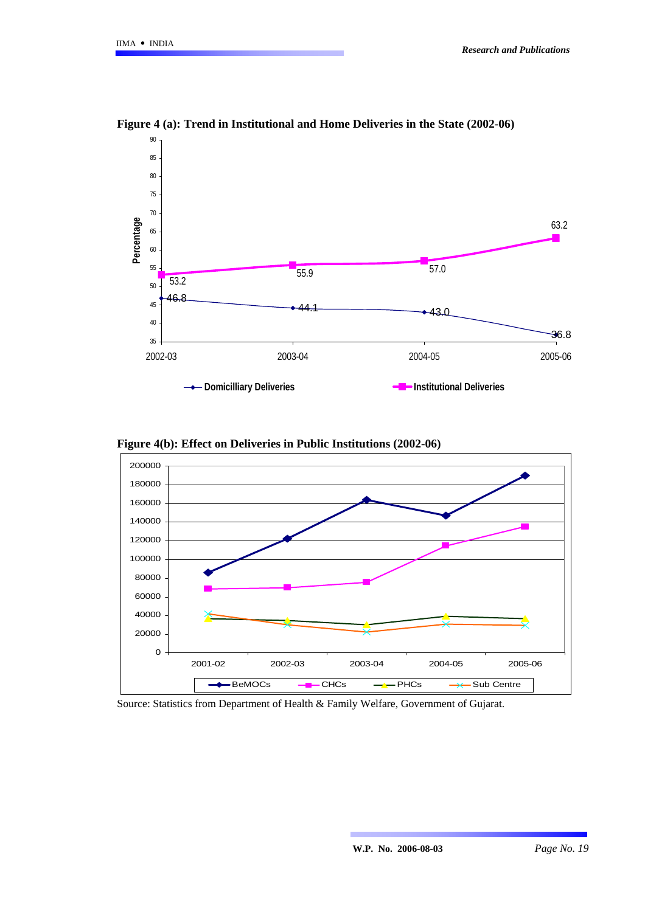

**Figure 4 (a): Trend in Institutional and Home Deliveries in the State (2002-06)** 





Source: Statistics from Department of Health & Family Welfare, Government of Gujarat.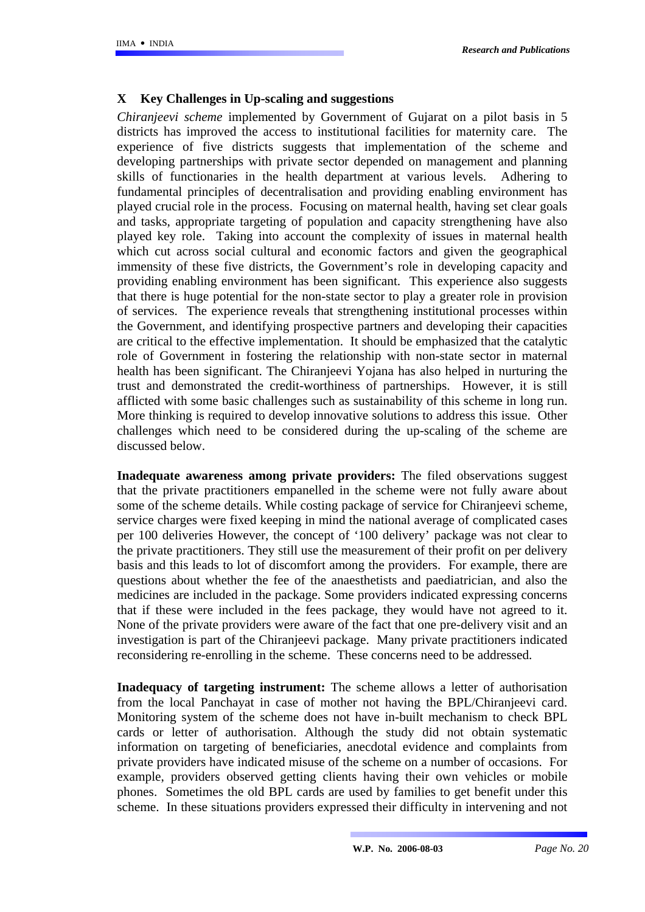### **X Key Challenges in Up-scaling and suggestions**

*Chiranjeevi scheme* implemented by Government of Gujarat on a pilot basis in 5 districts has improved the access to institutional facilities for maternity care. The experience of five districts suggests that implementation of the scheme and developing partnerships with private sector depended on management and planning skills of functionaries in the health department at various levels. Adhering to fundamental principles of decentralisation and providing enabling environment has played crucial role in the process. Focusing on maternal health, having set clear goals and tasks, appropriate targeting of population and capacity strengthening have also played key role. Taking into account the complexity of issues in maternal health which cut across social cultural and economic factors and given the geographical immensity of these five districts, the Government's role in developing capacity and providing enabling environment has been significant. This experience also suggests that there is huge potential for the non-state sector to play a greater role in provision of services. The experience reveals that strengthening institutional processes within the Government, and identifying prospective partners and developing their capacities are critical to the effective implementation. It should be emphasized that the catalytic role of Government in fostering the relationship with non-state sector in maternal health has been significant. The Chiranjeevi Yojana has also helped in nurturing the trust and demonstrated the credit-worthiness of partnerships. However, it is still afflicted with some basic challenges such as sustainability of this scheme in long run. More thinking is required to develop innovative solutions to address this issue. Other challenges which need to be considered during the up-scaling of the scheme are discussed below.

**Inadequate awareness among private providers:** The filed observations suggest that the private practitioners empanelled in the scheme were not fully aware about some of the scheme details. While costing package of service for Chiranjeevi scheme, service charges were fixed keeping in mind the national average of complicated cases per 100 deliveries However, the concept of '100 delivery' package was not clear to the private practitioners. They still use the measurement of their profit on per delivery basis and this leads to lot of discomfort among the providers. For example, there are questions about whether the fee of the anaesthetists and paediatrician, and also the medicines are included in the package. Some providers indicated expressing concerns that if these were included in the fees package, they would have not agreed to it. None of the private providers were aware of the fact that one pre-delivery visit and an investigation is part of the Chiranjeevi package. Many private practitioners indicated reconsidering re-enrolling in the scheme. These concerns need to be addressed.

**Inadequacy of targeting instrument:** The scheme allows a letter of authorisation from the local Panchayat in case of mother not having the BPL/Chiranjeevi card. Monitoring system of the scheme does not have in-built mechanism to check BPL cards or letter of authorisation. Although the study did not obtain systematic information on targeting of beneficiaries, anecdotal evidence and complaints from private providers have indicated misuse of the scheme on a number of occasions. For example, providers observed getting clients having their own vehicles or mobile phones. Sometimes the old BPL cards are used by families to get benefit under this scheme. In these situations providers expressed their difficulty in intervening and not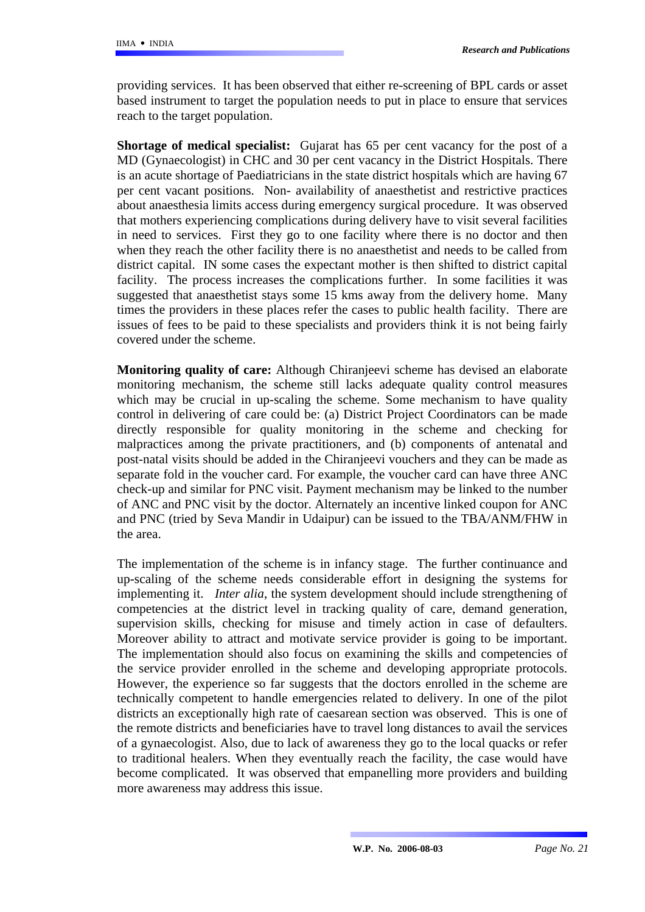providing services. It has been observed that either re-screening of BPL cards or asset based instrument to target the population needs to put in place to ensure that services reach to the target population.

**Shortage of medical specialist:** Gujarat has 65 per cent vacancy for the post of a MD (Gynaecologist) in CHC and 30 per cent vacancy in the District Hospitals. There is an acute shortage of Paediatricians in the state district hospitals which are having 67 per cent vacant positions. Non- availability of anaesthetist and restrictive practices about anaesthesia limits access during emergency surgical procedure. It was observed that mothers experiencing complications during delivery have to visit several facilities in need to services. First they go to one facility where there is no doctor and then when they reach the other facility there is no anaesthetist and needs to be called from district capital. IN some cases the expectant mother is then shifted to district capital facility. The process increases the complications further. In some facilities it was suggested that anaesthetist stays some 15 kms away from the delivery home. Many times the providers in these places refer the cases to public health facility. There are issues of fees to be paid to these specialists and providers think it is not being fairly covered under the scheme.

**Monitoring quality of care:** Although Chiranjeevi scheme has devised an elaborate monitoring mechanism, the scheme still lacks adequate quality control measures which may be crucial in up-scaling the scheme. Some mechanism to have quality control in delivering of care could be: (a) District Project Coordinators can be made directly responsible for quality monitoring in the scheme and checking for malpractices among the private practitioners, and (b) components of antenatal and post-natal visits should be added in the Chiranjeevi vouchers and they can be made as separate fold in the voucher card. For example, the voucher card can have three ANC check-up and similar for PNC visit. Payment mechanism may be linked to the number of ANC and PNC visit by the doctor. Alternately an incentive linked coupon for ANC and PNC (tried by Seva Mandir in Udaipur) can be issued to the TBA/ANM/FHW in the area.

The implementation of the scheme is in infancy stage. The further continuance and up-scaling of the scheme needs considerable effort in designing the systems for implementing it. *Inter alia*, the system development should include strengthening of competencies at the district level in tracking quality of care, demand generation, supervision skills, checking for misuse and timely action in case of defaulters. Moreover ability to attract and motivate service provider is going to be important. The implementation should also focus on examining the skills and competencies of the service provider enrolled in the scheme and developing appropriate protocols. However, the experience so far suggests that the doctors enrolled in the scheme are technically competent to handle emergencies related to delivery. In one of the pilot districts an exceptionally high rate of caesarean section was observed. This is one of the remote districts and beneficiaries have to travel long distances to avail the services of a gynaecologist. Also, due to lack of awareness they go to the local quacks or refer to traditional healers. When they eventually reach the facility, the case would have become complicated. It was observed that empanelling more providers and building more awareness may address this issue.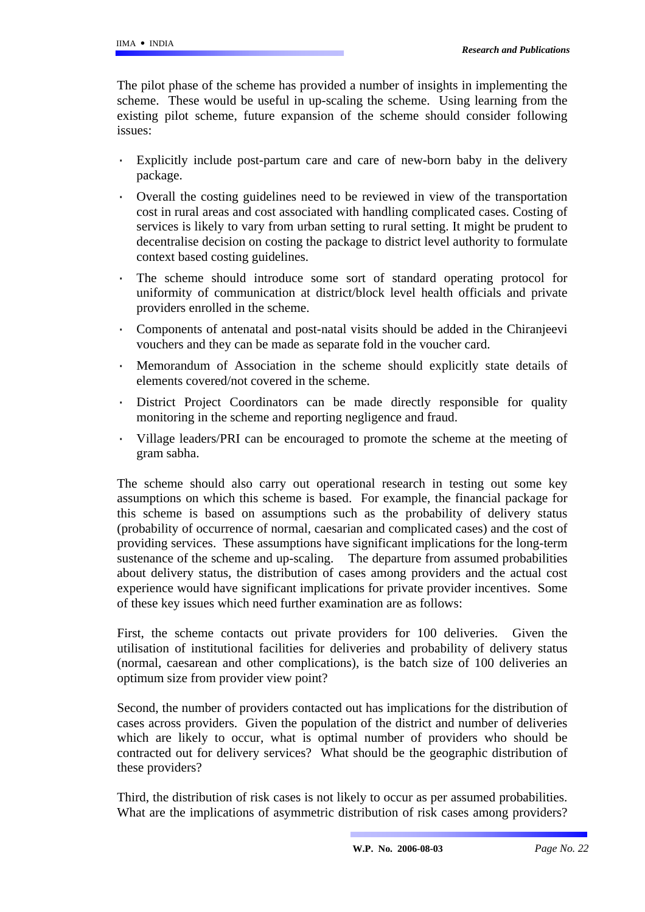The pilot phase of the scheme has provided a number of insights in implementing the scheme. These would be useful in up-scaling the scheme. Using learning from the existing pilot scheme, future expansion of the scheme should consider following issues:

- Explicitly include post-partum care and care of new-born baby in the delivery package.
- · Overall the costing guidelines need to be reviewed in view of the transportation cost in rural areas and cost associated with handling complicated cases. Costing of services is likely to vary from urban setting to rural setting. It might be prudent to decentralise decision on costing the package to district level authority to formulate context based costing guidelines.
- The scheme should introduce some sort of standard operating protocol for uniformity of communication at district/block level health officials and private providers enrolled in the scheme.
- Components of antenatal and post-natal visits should be added in the Chiranjeevi vouchers and they can be made as separate fold in the voucher card.
- Memorandum of Association in the scheme should explicitly state details of elements covered/not covered in the scheme.
- District Project Coordinators can be made directly responsible for quality monitoring in the scheme and reporting negligence and fraud.
- Village leaders/PRI can be encouraged to promote the scheme at the meeting of gram sabha.

The scheme should also carry out operational research in testing out some key assumptions on which this scheme is based. For example, the financial package for this scheme is based on assumptions such as the probability of delivery status (probability of occurrence of normal, caesarian and complicated cases) and the cost of providing services. These assumptions have significant implications for the long-term sustenance of the scheme and up-scaling. The departure from assumed probabilities about delivery status, the distribution of cases among providers and the actual cost experience would have significant implications for private provider incentives. Some of these key issues which need further examination are as follows:

First, the scheme contacts out private providers for 100 deliveries. Given the utilisation of institutional facilities for deliveries and probability of delivery status (normal, caesarean and other complications), is the batch size of 100 deliveries an optimum size from provider view point?

Second, the number of providers contacted out has implications for the distribution of cases across providers. Given the population of the district and number of deliveries which are likely to occur, what is optimal number of providers who should be contracted out for delivery services? What should be the geographic distribution of these providers?

Third, the distribution of risk cases is not likely to occur as per assumed probabilities. What are the implications of asymmetric distribution of risk cases among providers?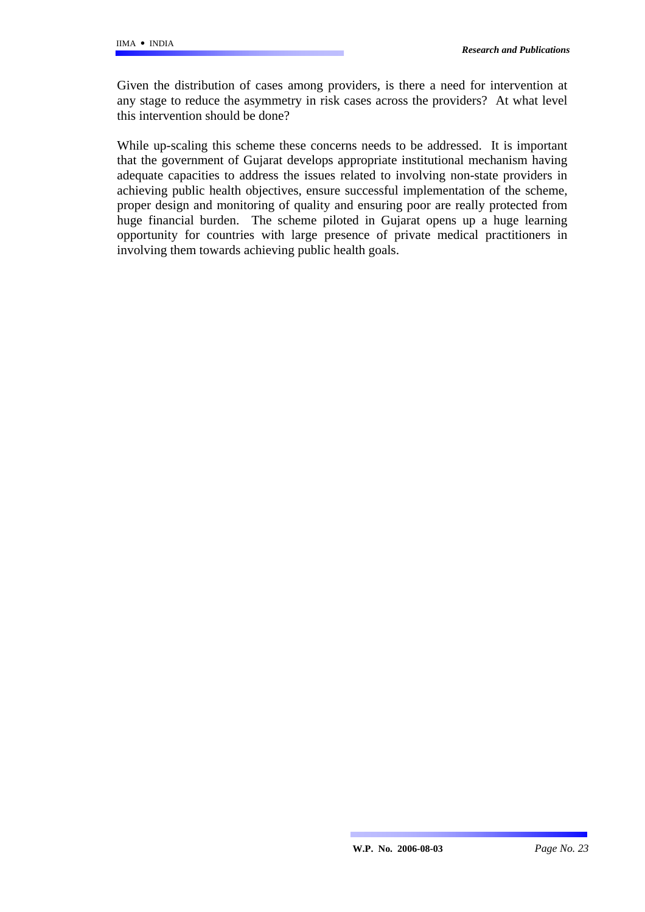Given the distribution of cases among providers, is there a need for intervention at any stage to reduce the asymmetry in risk cases across the providers? At what level this intervention should be done?

While up-scaling this scheme these concerns needs to be addressed. It is important that the government of Gujarat develops appropriate institutional mechanism having adequate capacities to address the issues related to involving non-state providers in achieving public health objectives, ensure successful implementation of the scheme, proper design and monitoring of quality and ensuring poor are really protected from huge financial burden. The scheme piloted in Gujarat opens up a huge learning opportunity for countries with large presence of private medical practitioners in involving them towards achieving public health goals.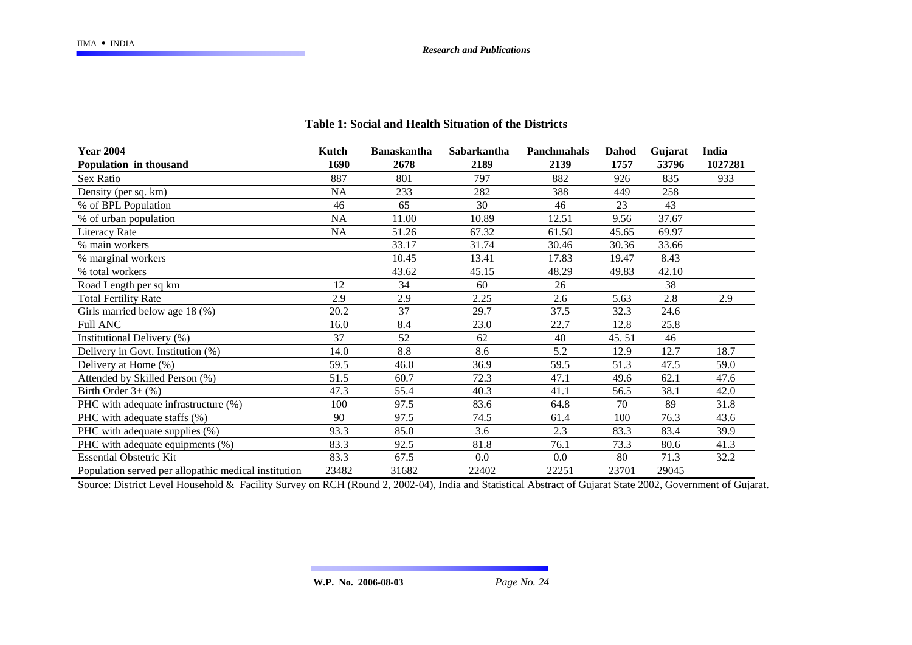| <b>Year 2004</b>                                     | Kutch | <b>Banaskantha</b> | Sabarkantha | <b>Panchmahals</b> | Dahod | Gujarat | India   |
|------------------------------------------------------|-------|--------------------|-------------|--------------------|-------|---------|---------|
| Population in thousand                               | 1690  | 2678               | 2189        | 2139               | 1757  | 53796   | 1027281 |
| Sex Ratio                                            | 887   | 801                | 797         | 882                | 926   | 835     | 933     |
| Density (per sq. km)                                 | NA    | 233                | 282         | 388                | 449   | 258     |         |
| % of BPL Population                                  | 46    | 65                 | 30          | 46                 | 23    | 43      |         |
| % of urban population                                | NA    | 11.00              | 10.89       | 12.51              | 9.56  | 37.67   |         |
| Literacy Rate                                        | NA    | 51.26              | 67.32       | 61.50              | 45.65 | 69.97   |         |
| % main workers                                       |       | 33.17              | 31.74       | 30.46              | 30.36 | 33.66   |         |
| % marginal workers                                   |       | 10.45              | 13.41       | 17.83              | 19.47 | 8.43    |         |
| % total workers                                      |       | 43.62              | 45.15       | 48.29              | 49.83 | 42.10   |         |
| Road Length per sq km                                | 12    | 34                 | 60          | 26                 |       | 38      |         |
| <b>Total Fertility Rate</b>                          | 2.9   | 2.9                | 2.25        | 2.6                | 5.63  | 2.8     | 2.9     |
| Girls married below age 18 (%)                       | 20.2  | 37                 | 29.7        | 37.5               | 32.3  | 24.6    |         |
| <b>Full ANC</b>                                      | 16.0  | 8.4                | 23.0        | 22.7               | 12.8  | 25.8    |         |
| Institutional Delivery (%)                           | 37    | 52                 | 62          | 40                 | 45.51 | 46      |         |
| Delivery in Govt. Institution (%)                    | 14.0  | 8.8                | 8.6         | 5.2                | 12.9  | 12.7    | 18.7    |
| Delivery at Home (%)                                 | 59.5  | 46.0               | 36.9        | 59.5               | 51.3  | 47.5    | 59.0    |
| Attended by Skilled Person (%)                       | 51.5  | 60.7               | 72.3        | 47.1               | 49.6  | 62.1    | 47.6    |
| Birth Order $3+$ (%)                                 | 47.3  | 55.4               | 40.3        | 41.1               | 56.5  | 38.1    | 42.0    |
| PHC with adequate infrastructure (%)                 | 100   | 97.5               | 83.6        | 64.8               | 70    | 89      | 31.8    |
| PHC with adequate staffs (%)                         | 90    | 97.5               | 74.5        | 61.4               | 100   | 76.3    | 43.6    |
| PHC with adequate supplies (%)                       | 93.3  | 85.0               | 3.6         | 2.3                | 83.3  | 83.4    | 39.9    |
| PHC with adequate equipments (%)                     | 83.3  | 92.5               | 81.8        | 76.1               | 73.3  | 80.6    | 41.3    |
| <b>Essential Obstetric Kit</b>                       | 83.3  | 67.5               | 0.0         | 0.0                | 80    | 71.3    | 32.2    |
| Population served per allopathic medical institution | 23482 | 31682              | 22402       | 22251              | 23701 | 29045   |         |

#### **Table 1: Social and Health Situation of the Districts**

Source: District Level Household & Facility Survey on RCH (Round 2, 2002-04), India and Statistical Abstract of Gujarat State 2002, Government of Gujarat.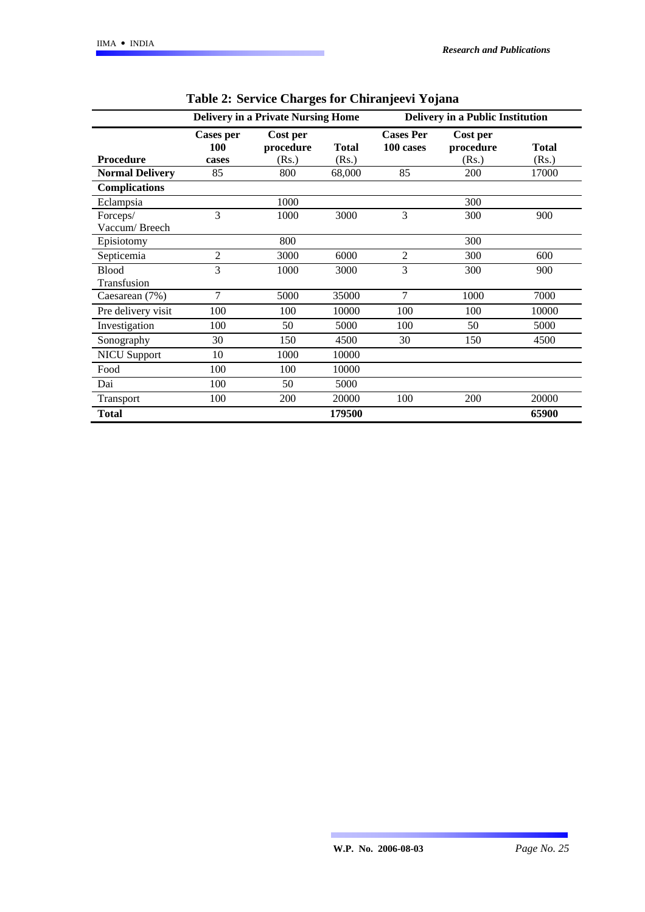|                             | <b>Delivery in a Private Nursing Home</b> |                                |                       | <b>Delivery in a Public Institution</b> |                                |                       |
|-----------------------------|-------------------------------------------|--------------------------------|-----------------------|-----------------------------------------|--------------------------------|-----------------------|
| <b>Procedure</b>            | <b>Cases per</b><br><b>100</b><br>cases   | Cost per<br>procedure<br>(Rs.) | <b>Total</b><br>(Rs.) | <b>Cases Per</b><br>100 cases           | Cost per<br>procedure<br>(Rs.) | <b>Total</b><br>(Rs.) |
| <b>Normal Delivery</b>      | 85                                        | 800                            | 68,000                | 85                                      | 200                            | 17000                 |
| <b>Complications</b>        |                                           |                                |                       |                                         |                                |                       |
| Eclampsia                   |                                           | 1000                           |                       |                                         | 300                            |                       |
| Forceps/<br>Vaccum/Breech   | 3                                         | 1000                           | 3000                  | 3                                       | 300                            | 900                   |
| Episiotomy                  |                                           | 800                            |                       |                                         | 300                            |                       |
| Septicemia                  | 2                                         | 3000                           | 6000                  | $\overline{2}$                          | 300                            | 600                   |
| <b>Blood</b><br>Transfusion | 3                                         | 1000                           | 3000                  | 3                                       | 300                            | 900                   |
| Caesarean (7%)              | 7                                         | 5000                           | 35000                 | $\overline{7}$                          | 1000                           | 7000                  |
| Pre delivery visit          | 100                                       | 100                            | 10000                 | 100                                     | 100                            | 10000                 |
| Investigation               | 100                                       | 50                             | 5000                  | 100                                     | 50                             | 5000                  |
| Sonography                  | 30                                        | 150                            | 4500                  | 30                                      | 150                            | 4500                  |
| <b>NICU Support</b>         | 10                                        | 1000                           | 10000                 |                                         |                                |                       |
| Food                        | 100                                       | 100                            | 10000                 |                                         |                                |                       |
| Dai                         | 100                                       | 50                             | 5000                  |                                         |                                |                       |
| Transport                   | 100                                       | 200                            | 20000                 | 100                                     | 200                            | 20000                 |
| <b>Total</b>                |                                           |                                | 179500                |                                         |                                | 65900                 |

| Table 2: Service Charges for Chiranjeevi Yojana |  |  |  |
|-------------------------------------------------|--|--|--|
|                                                 |  |  |  |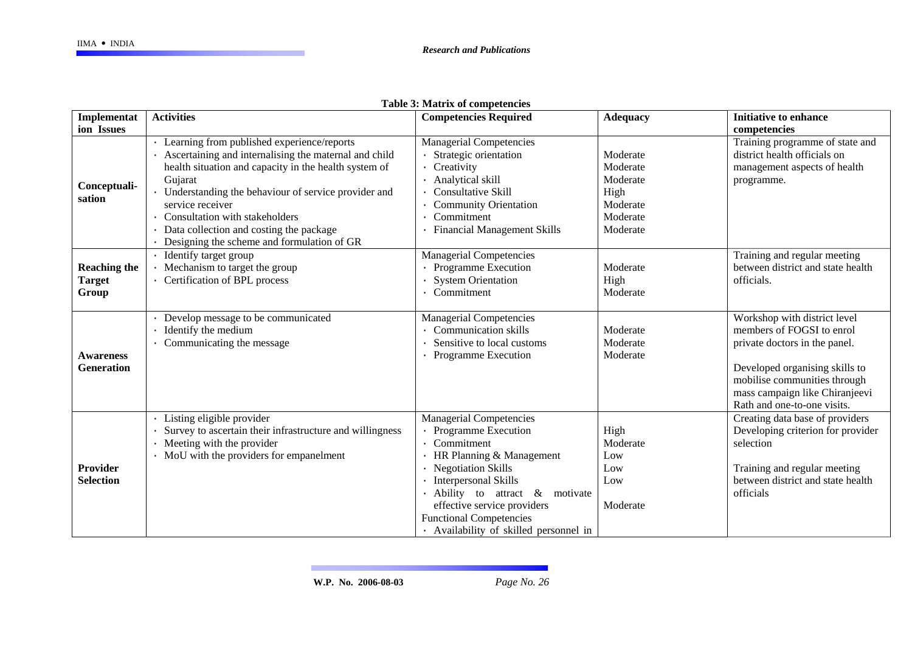|                                               |                                                                                                                                                                                                                                                                                                                                                                               | <b>Table 5: Matrix of competencies</b>                                                                                                                                                                                                                                                                              |                                                                              |                                                                                                                                                                                                                               |
|-----------------------------------------------|-------------------------------------------------------------------------------------------------------------------------------------------------------------------------------------------------------------------------------------------------------------------------------------------------------------------------------------------------------------------------------|---------------------------------------------------------------------------------------------------------------------------------------------------------------------------------------------------------------------------------------------------------------------------------------------------------------------|------------------------------------------------------------------------------|-------------------------------------------------------------------------------------------------------------------------------------------------------------------------------------------------------------------------------|
| Implementat                                   | <b>Activities</b>                                                                                                                                                                                                                                                                                                                                                             | <b>Competencies Required</b>                                                                                                                                                                                                                                                                                        | <b>Adequacy</b>                                                              | <b>Initiative to enhance</b>                                                                                                                                                                                                  |
| ion Issues                                    |                                                                                                                                                                                                                                                                                                                                                                               |                                                                                                                                                                                                                                                                                                                     |                                                                              | competencies                                                                                                                                                                                                                  |
| Conceptuali-<br>sation                        | Learning from published experience/reports<br>Ascertaining and internalising the maternal and child<br>health situation and capacity in the health system of<br>Gujarat<br>Understanding the behaviour of service provider and<br>service receiver<br>Consultation with stakeholders<br>Data collection and costing the package<br>Designing the scheme and formulation of GR | <b>Managerial Competencies</b><br>Strategic orientation<br>Creativity<br>Analytical skill<br><b>Consultative Skill</b><br><b>Community Orientation</b><br>Commitment<br><b>Financial Management Skills</b>                                                                                                          | Moderate<br>Moderate<br>Moderate<br>High<br>Moderate<br>Moderate<br>Moderate | Training programme of state and<br>district health officials on<br>management aspects of health<br>programme.                                                                                                                 |
| <b>Reaching the</b><br><b>Target</b><br>Group | Identify target group<br>Mechanism to target the group<br>Certification of BPL process                                                                                                                                                                                                                                                                                        | <b>Managerial Competencies</b><br>Programme Execution<br><b>System Orientation</b><br>Commitment                                                                                                                                                                                                                    | Moderate<br>High<br>Moderate                                                 | Training and regular meeting<br>between district and state health<br>officials.                                                                                                                                               |
| <b>Awareness</b><br><b>Generation</b>         | Develop message to be communicated<br>Identify the medium<br>Communicating the message                                                                                                                                                                                                                                                                                        | <b>Managerial Competencies</b><br><b>Communication skills</b><br>Sensitive to local customs<br><b>Programme Execution</b>                                                                                                                                                                                           | Moderate<br>Moderate<br>Moderate                                             | Workshop with district level<br>members of FOGSI to enrol<br>private doctors in the panel.<br>Developed organising skills to<br>mobilise communities through<br>mass campaign like Chiranjeevi<br>Rath and one-to-one visits. |
| Provider<br><b>Selection</b>                  | Listing eligible provider<br>Survey to ascertain their infrastructure and willingness<br>Meeting with the provider<br>MoU with the providers for empanelment                                                                                                                                                                                                                  | <b>Managerial Competencies</b><br><b>Programme Execution</b><br>Commitment<br>HR Planning & Management<br><b>Negotiation Skills</b><br><b>Interpersonal Skills</b><br>· Ability to attract<br>& motivate<br>effective service providers<br><b>Functional Competencies</b><br>· Availability of skilled personnel in | High<br>Moderate<br>Low<br>Low<br>Low<br>Moderate                            | Creating data base of providers<br>Developing criterion for provider<br>selection<br>Training and regular meeting<br>between district and state health<br>officials                                                           |

| Table 3: Matrix of competencies |  |  |  |  |
|---------------------------------|--|--|--|--|
|---------------------------------|--|--|--|--|

 $\sim 10$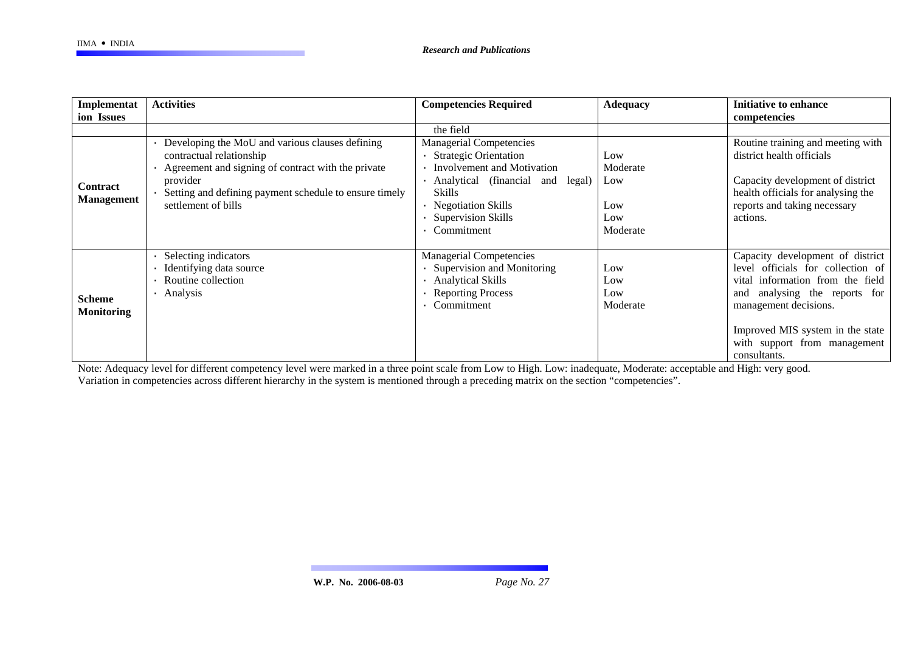| Implementat                        | <b>Activities</b>                                                                                                                                                                                                                | <b>Competencies Required</b>                                                                                                                                                                                             | <b>Adequacy</b>                                  | <b>Initiative to enhance</b>                                                                                                                                                                                                                                     |
|------------------------------------|----------------------------------------------------------------------------------------------------------------------------------------------------------------------------------------------------------------------------------|--------------------------------------------------------------------------------------------------------------------------------------------------------------------------------------------------------------------------|--------------------------------------------------|------------------------------------------------------------------------------------------------------------------------------------------------------------------------------------------------------------------------------------------------------------------|
| ion Issues                         |                                                                                                                                                                                                                                  |                                                                                                                                                                                                                          |                                                  | competencies                                                                                                                                                                                                                                                     |
|                                    |                                                                                                                                                                                                                                  | the field                                                                                                                                                                                                                |                                                  |                                                                                                                                                                                                                                                                  |
| Contract<br><b>Management</b>      | • Developing the MoU and various clauses defining<br>contractual relationship<br>Agreement and signing of contract with the private<br>provider<br>Setting and defining payment schedule to ensure timely<br>settlement of bills | <b>Managerial Competencies</b><br><b>Strategic Orientation</b><br>Involvement and Motivation<br>Analytical (financial<br>legal)<br>and<br><b>Skills</b><br>Negotiation Skills<br><b>Supervision Skills</b><br>Commitment | Low<br>Moderate<br>Low<br>Low<br>Low<br>Moderate | Routine training and meeting with<br>district health officials<br>Capacity development of district<br>health officials for analysing the<br>reports and taking necessary<br>actions.                                                                             |
| <b>Scheme</b><br><b>Monitoring</b> | Selecting indicators<br>Identifying data source<br>Routine collection<br>Analysis                                                                                                                                                | <b>Managerial Competencies</b><br>Supervision and Monitoring<br><b>Analytical Skills</b><br><b>Reporting Process</b><br>Commitment                                                                                       | Low<br>Low<br>Low<br>Moderate                    | Capacity development of district<br>officials for collection of<br>level<br>information from the field<br>vital<br>analysing the reports for<br>and<br>management decisions.<br>Improved MIS system in the state<br>with support from management<br>consultants. |

Note: Adequacy level for different competency level were marked in a three point scale from Low to High. Low: inadequate, Moderate: acceptable and High: very good. Variation in competencies across different hierarchy in the system is mentioned through a preceding matrix on the section "competencies".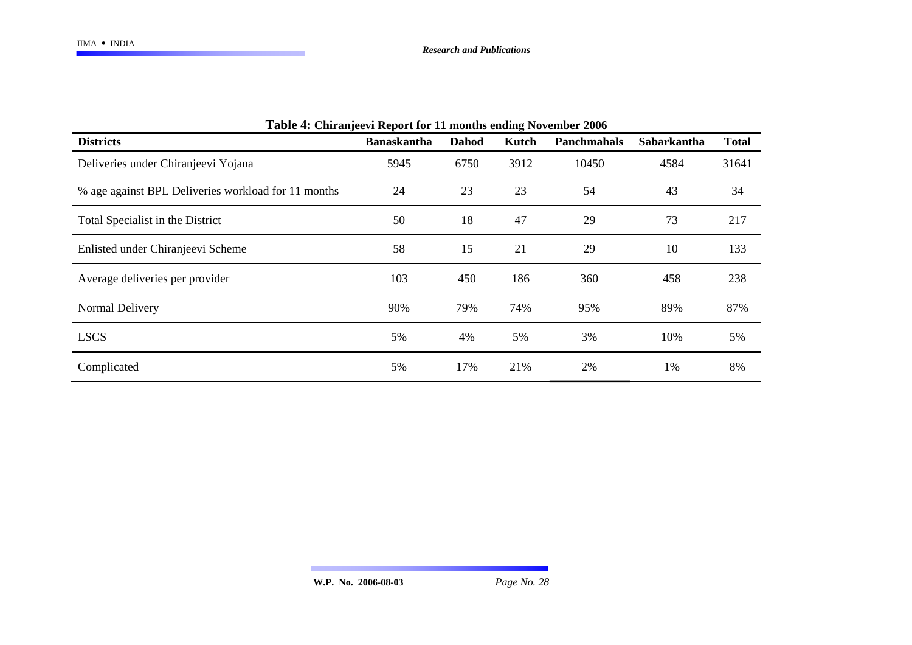| <b>Table 4: Chiranjeevi Report for 11 months ending November 2006</b> |                    |              |       |                    |                    |              |
|-----------------------------------------------------------------------|--------------------|--------------|-------|--------------------|--------------------|--------------|
| <b>Districts</b>                                                      | <b>Banaskantha</b> | <b>Dahod</b> | Kutch | <b>Panchmahals</b> | <b>Sabarkantha</b> | <b>Total</b> |
| Deliveries under Chiranjeevi Yojana                                   | 5945               | 6750         | 3912  | 10450              | 4584               | 31641        |
| % age against BPL Deliveries workload for 11 months                   | 24                 | 23           | 23    | 54                 | 43                 | 34           |
| Total Specialist in the District                                      | 50                 | 18           | 47    | 29                 | 73                 | 217          |
| Enlisted under Chiranjeevi Scheme                                     | 58                 | 15           | 21    | 29                 | 10                 | 133          |
| Average deliveries per provider                                       | 103                | 450          | 186   | 360                | 458                | 238          |
| Normal Delivery                                                       | 90%                | 79%          | 74%   | 95%                | 89%                | 87%          |
| <b>LSCS</b>                                                           | 5%                 | 4%           | 5%    | 3%                 | 10%                | 5%           |
| Complicated                                                           | 5%                 | 17%          | 21%   | 2%                 | 1%                 | 8%           |

#### $T$ . 1. 1.  $\overline{A}$ :  $\overline{C}$ 1.  $\overline{C}$ **Chiranjeevi Report for 11 months ending November 2006**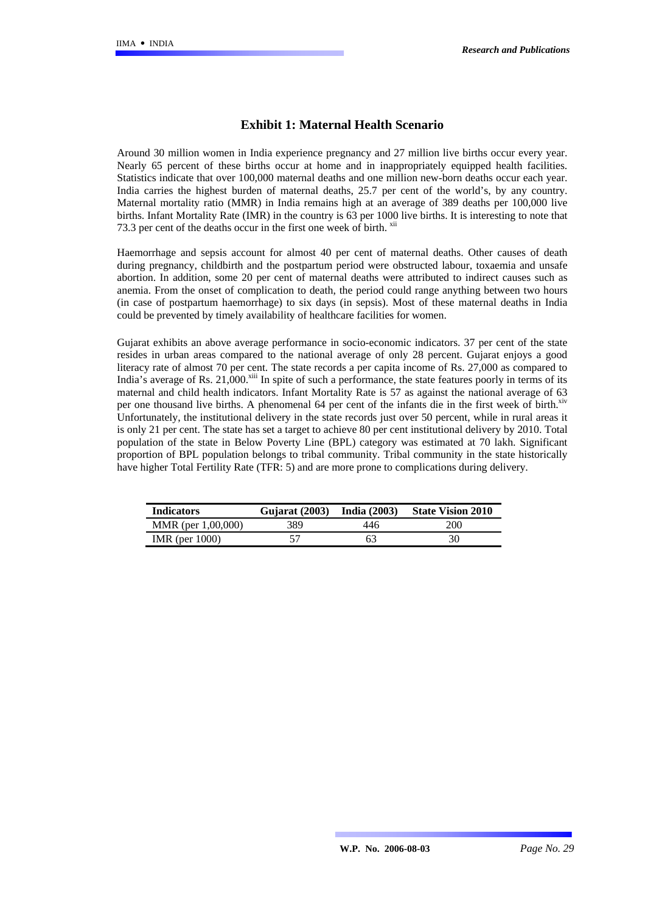#### **Exhibit 1: Maternal Health Scenario**

Around 30 million women in India experience pregnancy and 27 million live births occur every year. Nearly 65 percent of these births occur at home and in inappropriately equipped health facilities. Statistics indicate that over 100,000 maternal deaths and one million new-born deaths occur each year. India carries the highest burden of maternal deaths, 25.7 per cent of the world's, by any country. Maternal mortality ratio (MMR) in India remains high at an average of 389 deaths per 100,000 live births. Infant Mortality Rate (IMR) in the country is 63 per 1000 live births. It is interesting to note that 73.3 per cent of the deaths occur in the first one week of birth.  $\frac{X}{X}$ 

Haemorrhage and sepsis account for almost 40 per cent of maternal deaths. Other causes of death during pregnancy, childbirth and the postpartum period were obstructed labour, toxaemia and unsafe abortion. In addition, some 20 per cent of maternal deaths were attributed to indirect causes such as anemia. From the onset of complication to death, the period could range anything between two hours (in case of postpartum haemorrhage) to six days (in sepsis). Most of these maternal deaths in India could be prevented by timely availability of healthcare facilities for women.

Gujarat exhibits an above average performance in socio-economic indicators. 37 per cent of the state resides in urban areas compared to the national average of only 28 percent. Gujarat enjoys a good literacy rate of almost 70 per cent. The state records a per capita income of Rs. 27,000 as compared to India's average of Rs.  $21,000$ <sup>xiii</sup> In spite of such a performance, the state features poorly in terms of its maternal and child health indicators. Infant Mortality Rate is 57 as against the national average of 63 per one thousand live births. A phenomenal 64 per cent of the infants die in the first week of birth.<sup>xiv</sup> Unfortunately, the institutional delivery in the state records just over 50 percent, while in rural areas it is only 21 per cent. The state has set a target to achieve 80 per cent institutional delivery by 2010. Total population of the state in Below Poverty Line (BPL) category was estimated at 70 lakh. Significant proportion of BPL population belongs to tribal community. Tribal community in the state historically have higher Total Fertility Rate (TFR: 5) and are more prone to complications during delivery.

| <b>Indicators</b>  | Gujarat (2003) | <b>India</b> (2003) | <b>State Vision 2010</b> |
|--------------------|----------------|---------------------|--------------------------|
| MMR (per 1,00,000) | 389.           | 446                 | 200                      |
| IMR (per $1000$ )  |                | 63                  | 30                       |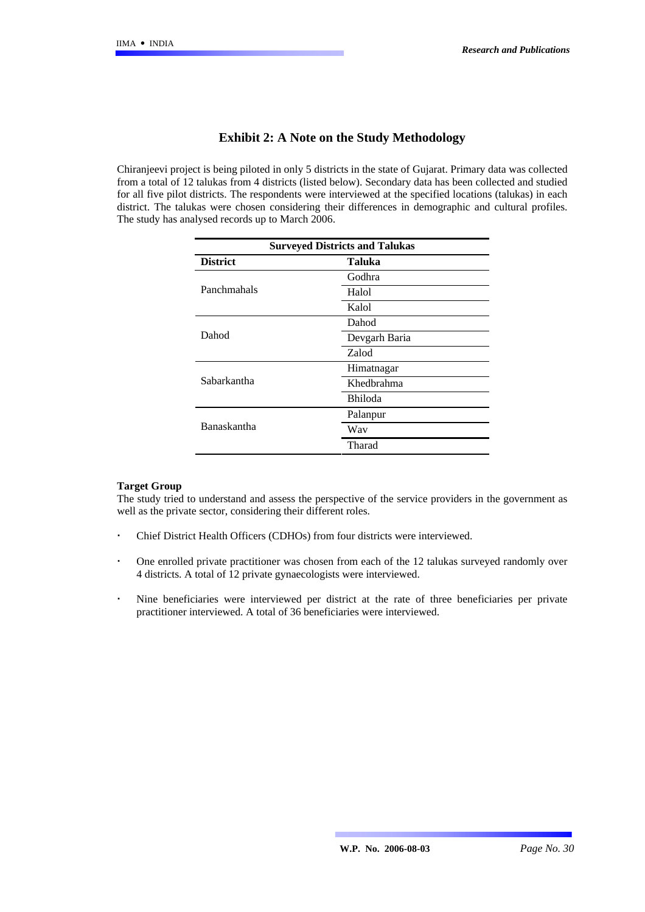#### **Exhibit 2: A Note on the Study Methodology**

Chiranjeevi project is being piloted in only 5 districts in the state of Gujarat. Primary data was collected from a total of 12 talukas from 4 districts (listed below). Secondary data has been collected and studied for all five pilot districts. The respondents were interviewed at the specified locations (talukas) in each district. The talukas were chosen considering their differences in demographic and cultural profiles. The study has analysed records up to March 2006.

| <b>Surveyed Districts and Talukas</b> |               |  |  |
|---------------------------------------|---------------|--|--|
| <b>District</b>                       | Taluka        |  |  |
|                                       | Godhra        |  |  |
| Panchmahals                           | Halol         |  |  |
|                                       | Kalol         |  |  |
|                                       | Dahod         |  |  |
| Dahod                                 | Devgarh Baria |  |  |
|                                       | Zalod         |  |  |
|                                       | Himatnagar    |  |  |
| Sabarkantha                           | Khedbrahma    |  |  |
|                                       | Bhiloda       |  |  |
|                                       | Palanpur      |  |  |
| <b>Banaskantha</b>                    | Way           |  |  |
|                                       | Tharad        |  |  |
|                                       |               |  |  |

#### **Target Group**

The study tried to understand and assess the perspective of the service providers in the government as well as the private sector, considering their different roles.

- Chief District Health Officers (CDHOs) from four districts were interviewed.
- One enrolled private practitioner was chosen from each of the 12 talukas surveyed randomly over 4 districts. A total of 12 private gynaecologists were interviewed.
- Nine beneficiaries were interviewed per district at the rate of three beneficiaries per private practitioner interviewed. A total of 36 beneficiaries were interviewed.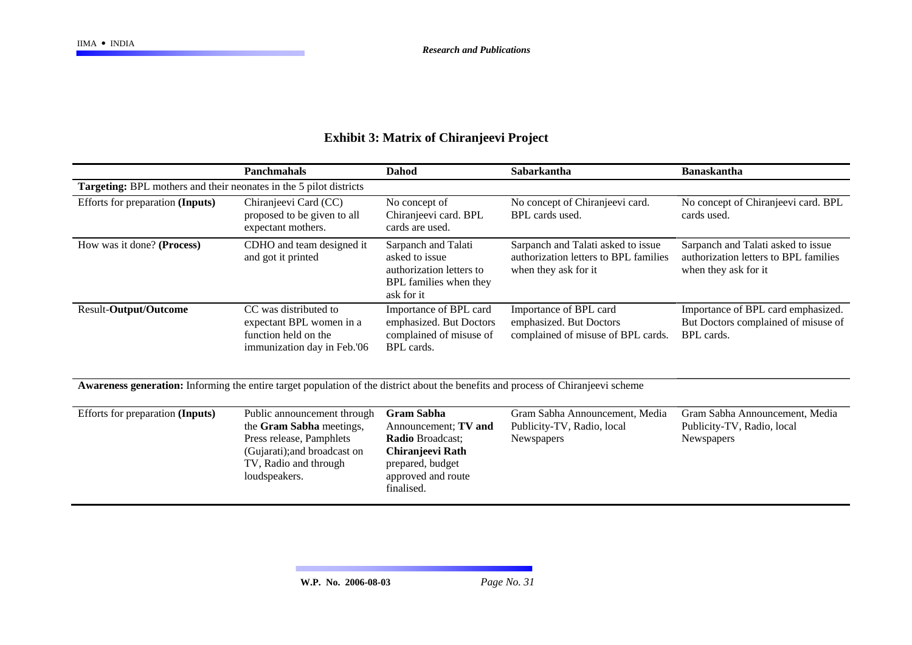|                                                                                                                                   | <b>Panchmahals</b>                                                                                                                                            | <b>Dahod</b>                                                                                                                                     | Sabarkantha                                                                                         | <b>Banaskantha</b>                                                                                  |  |  |
|-----------------------------------------------------------------------------------------------------------------------------------|---------------------------------------------------------------------------------------------------------------------------------------------------------------|--------------------------------------------------------------------------------------------------------------------------------------------------|-----------------------------------------------------------------------------------------------------|-----------------------------------------------------------------------------------------------------|--|--|
| Targeting: BPL mothers and their neonates in the 5 pilot districts                                                                |                                                                                                                                                               |                                                                                                                                                  |                                                                                                     |                                                                                                     |  |  |
| Efforts for preparation (Inputs)                                                                                                  | Chiranjeevi Card (CC)<br>proposed to be given to all<br>expectant mothers.                                                                                    | No concept of<br>Chiranjeevi card. BPL<br>cards are used.                                                                                        | No concept of Chiranjeevi card.<br>BPL cards used.                                                  | No concept of Chiranjeevi card. BPL<br>cards used.                                                  |  |  |
| How was it done? (Process)                                                                                                        | CDHO and team designed it<br>and got it printed                                                                                                               | Sarpanch and Talati<br>asked to issue<br>authorization letters to<br>BPL families when they<br>ask for it                                        | Sarpanch and Talati asked to issue<br>authorization letters to BPL families<br>when they ask for it | Sarpanch and Talati asked to issue<br>authorization letters to BPL families<br>when they ask for it |  |  |
| Result-Output/Outcome                                                                                                             | CC was distributed to<br>expectant BPL women in a<br>function held on the<br>immunization day in Feb.'06                                                      | Importance of BPL card<br>emphasized. But Doctors<br>complained of misuse of<br>BPL cards.                                                       | Importance of BPL card<br>emphasized. But Doctors<br>complained of misuse of BPL cards.             | Importance of BPL card emphasized.<br>But Doctors complained of misuse of<br><b>BPL</b> cards.      |  |  |
| Awareness generation: Informing the entire target population of the district about the benefits and process of Chiranjeevi scheme |                                                                                                                                                               |                                                                                                                                                  |                                                                                                     |                                                                                                     |  |  |
| Efforts for preparation (Inputs)                                                                                                  | Public announcement through<br>the Gram Sabha meetings,<br>Press release, Pamphlets<br>(Gujarati); and broadcast on<br>TV, Radio and through<br>loudspeakers. | <b>Gram Sabha</b><br>Announcement; TV and<br><b>Radio Broadcast;</b><br>Chiranjeevi Rath<br>prepared, budget<br>approved and route<br>finalised. | Gram Sabha Announcement, Media<br>Publicity-TV, Radio, local<br>Newspapers                          | Gram Sabha Announcement, Media<br>Publicity-TV, Radio, local<br>Newspapers                          |  |  |

# **Exhibit 3: Matrix of Chiranjeevi Project**

an an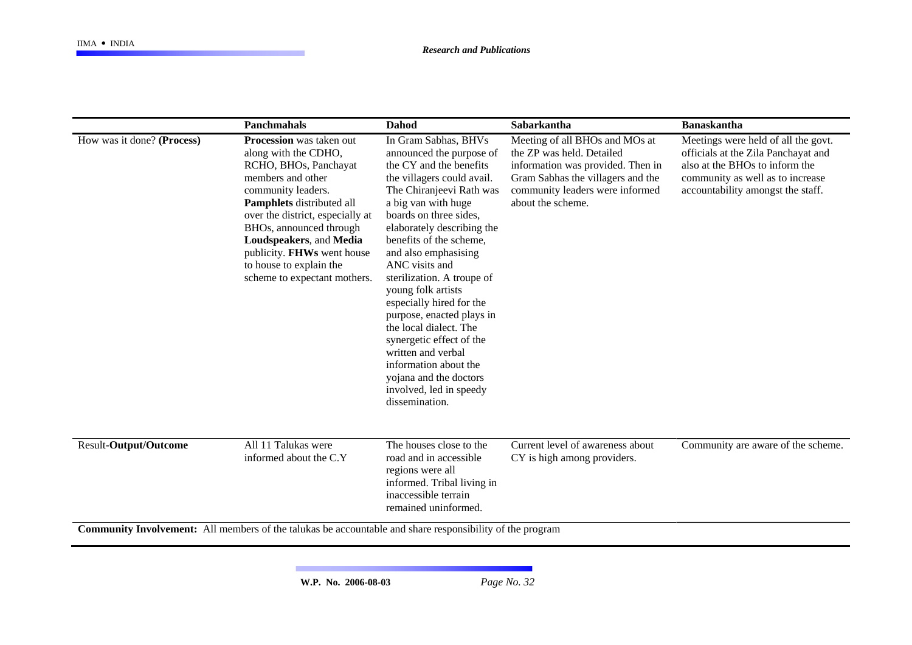|                                                                                                                                   | <b>Panchmahals</b>                                                                                                                                                                                                                                                                                                                          | <b>Dahod</b>                                                                                                                                                                                                                                                                                                                                                                                                                                                                                                                                                                       | Sabarkantha                                                                                                                                                                                   | <b>Banaskantha</b>                                                                                                                                                                    |
|-----------------------------------------------------------------------------------------------------------------------------------|---------------------------------------------------------------------------------------------------------------------------------------------------------------------------------------------------------------------------------------------------------------------------------------------------------------------------------------------|------------------------------------------------------------------------------------------------------------------------------------------------------------------------------------------------------------------------------------------------------------------------------------------------------------------------------------------------------------------------------------------------------------------------------------------------------------------------------------------------------------------------------------------------------------------------------------|-----------------------------------------------------------------------------------------------------------------------------------------------------------------------------------------------|---------------------------------------------------------------------------------------------------------------------------------------------------------------------------------------|
| How was it done? (Process)                                                                                                        | <b>Procession</b> was taken out<br>along with the CDHO,<br>RCHO, BHOs, Panchayat<br>members and other<br>community leaders.<br>Pamphlets distributed all<br>over the district, especially at<br>BHOs, announced through<br>Loudspeakers, and Media<br>publicity. FHWs went house<br>to house to explain the<br>scheme to expectant mothers. | In Gram Sabhas, BHVs<br>announced the purpose of<br>the CY and the benefits<br>the villagers could avail.<br>The Chiranjeevi Rath was<br>a big van with huge<br>boards on three sides,<br>elaborately describing the<br>benefits of the scheme,<br>and also emphasising<br>ANC visits and<br>sterilization. A troupe of<br>young folk artists<br>especially hired for the<br>purpose, enacted plays in<br>the local dialect. The<br>synergetic effect of the<br>written and verbal<br>information about the<br>yojana and the doctors<br>involved, led in speedy<br>dissemination. | Meeting of all BHOs and MOs at<br>the ZP was held. Detailed<br>information was provided. Then in<br>Gram Sabhas the villagers and the<br>community leaders were informed<br>about the scheme. | Meetings were held of all the govt.<br>officials at the Zila Panchayat and<br>also at the BHOs to inform the<br>community as well as to increase<br>accountability amongst the staff. |
| Result-Output/Outcome<br>Community Involvement: All members of the telukes be accountable and share responsibility of the program | All 11 Talukas were<br>informed about the C.Y                                                                                                                                                                                                                                                                                               | The houses close to the<br>road and in accessible<br>regions were all<br>informed. Tribal living in<br>inaccessible terrain<br>remained uninformed.                                                                                                                                                                                                                                                                                                                                                                                                                                | Current level of awareness about<br>CY is high among providers.                                                                                                                               | Community are aware of the scheme.                                                                                                                                                    |

**Community Involvement:** All members of the talukas be accountable and share responsibility of the program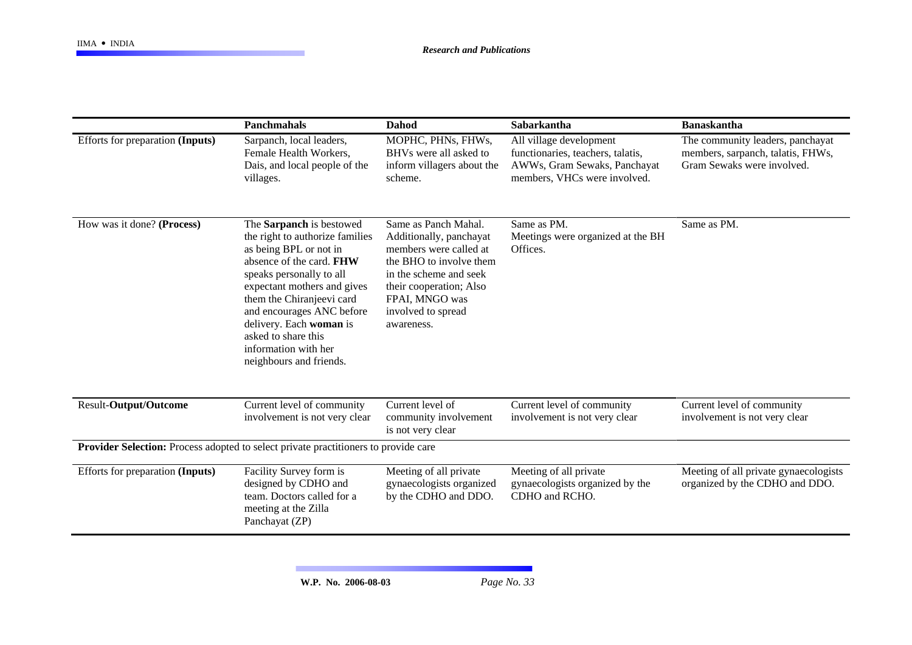|                                                                                     | <b>Panchmahals</b>                                                                                                                                                                                                                                                                                                                          | Dahod                                                                                                                                                                                                           | Sabarkantha                                                                                                                  | <b>Banaskantha</b>                                                                                  |
|-------------------------------------------------------------------------------------|---------------------------------------------------------------------------------------------------------------------------------------------------------------------------------------------------------------------------------------------------------------------------------------------------------------------------------------------|-----------------------------------------------------------------------------------------------------------------------------------------------------------------------------------------------------------------|------------------------------------------------------------------------------------------------------------------------------|-----------------------------------------------------------------------------------------------------|
| Efforts for preparation (Inputs)                                                    | Sarpanch, local leaders,<br>Female Health Workers,<br>Dais, and local people of the<br>villages.                                                                                                                                                                                                                                            | MOPHC, PHNs, FHWs,<br>BHVs were all asked to<br>inform villagers about the<br>scheme.                                                                                                                           | All village development<br>functionaries, teachers, talatis,<br>AWWs, Gram Sewaks, Panchayat<br>members, VHCs were involved. | The community leaders, panchayat<br>members, sarpanch, talatis, FHWs,<br>Gram Sewaks were involved. |
| How was it done? (Process)                                                          | The Sarpanch is bestowed<br>the right to authorize families<br>as being BPL or not in<br>absence of the card. FHW<br>speaks personally to all<br>expectant mothers and gives<br>them the Chiranjeevi card<br>and encourages ANC before<br>delivery. Each woman is<br>asked to share this<br>information with her<br>neighbours and friends. | Same as Panch Mahal.<br>Additionally, panchayat<br>members were called at<br>the BHO to involve them<br>in the scheme and seek<br>their cooperation; Also<br>FPAI, MNGO was<br>involved to spread<br>awareness. | Same as PM.<br>Meetings were organized at the BH<br>Offices.                                                                 | Same as PM.                                                                                         |
| <b>Result-Output/Outcome</b>                                                        | Current level of community<br>involvement is not very clear                                                                                                                                                                                                                                                                                 | Current level of<br>community involvement<br>is not very clear                                                                                                                                                  | Current level of community<br>involvement is not very clear                                                                  | Current level of community<br>involvement is not very clear                                         |
| Provider Selection: Process adopted to select private practitioners to provide care |                                                                                                                                                                                                                                                                                                                                             |                                                                                                                                                                                                                 |                                                                                                                              |                                                                                                     |
| Efforts for preparation (Inputs)                                                    | Facility Survey form is<br>designed by CDHO and<br>team. Doctors called for a<br>meeting at the Zilla<br>Panchayat (ZP)                                                                                                                                                                                                                     | Meeting of all private<br>gynaecologists organized<br>by the CDHO and DDO.                                                                                                                                      | Meeting of all private<br>gynaecologists organized by the<br>CDHO and RCHO.                                                  | Meeting of all private gynaecologists<br>organized by the CDHO and DDO.                             |

**W.P. No. 2006-08-03** *Page No. 33*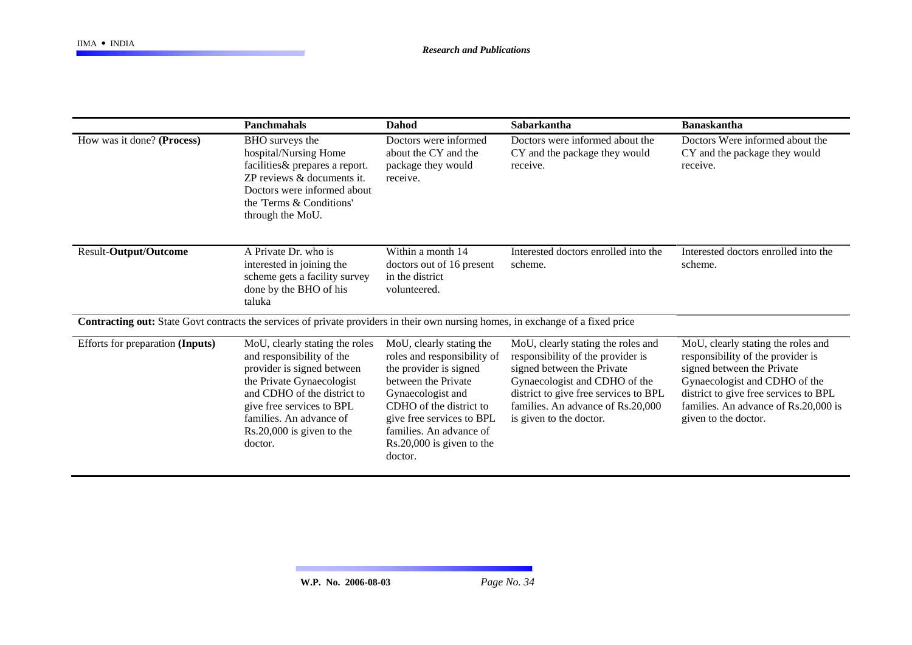|                                                                                                                                         | <b>Panchmahals</b>                                                                                                                                                                                                                                      | Dahod                                                                                                                                                                                                                                                      | Sabarkantha                                                                                                                                                                                                                                     | <b>Banaskantha</b>                                                                                                                                                                                                                              |
|-----------------------------------------------------------------------------------------------------------------------------------------|---------------------------------------------------------------------------------------------------------------------------------------------------------------------------------------------------------------------------------------------------------|------------------------------------------------------------------------------------------------------------------------------------------------------------------------------------------------------------------------------------------------------------|-------------------------------------------------------------------------------------------------------------------------------------------------------------------------------------------------------------------------------------------------|-------------------------------------------------------------------------------------------------------------------------------------------------------------------------------------------------------------------------------------------------|
| How was it done? (Process)                                                                                                              | BHO surveys the<br>hospital/Nursing Home<br>facilities & prepares a report.<br>ZP reviews & documents it.<br>Doctors were informed about<br>the 'Terms & Conditions'<br>through the MoU.                                                                | Doctors were informed<br>about the CY and the<br>package they would<br>receive.                                                                                                                                                                            | Doctors were informed about the<br>CY and the package they would<br>receive.                                                                                                                                                                    | Doctors Were informed about the<br>CY and the package they would<br>receive.                                                                                                                                                                    |
| Result-Output/Outcome                                                                                                                   | A Private Dr. who is<br>interested in joining the<br>scheme gets a facility survey<br>done by the BHO of his<br>taluka                                                                                                                                  | Within a month 14<br>doctors out of 16 present<br>in the district<br>volunteered.                                                                                                                                                                          | Interested doctors enrolled into the<br>scheme.                                                                                                                                                                                                 | Interested doctors enrolled into the<br>scheme.                                                                                                                                                                                                 |
| <b>Contracting out:</b> State Govt contracts the services of private providers in their own nursing homes, in exchange of a fixed price |                                                                                                                                                                                                                                                         |                                                                                                                                                                                                                                                            |                                                                                                                                                                                                                                                 |                                                                                                                                                                                                                                                 |
| Efforts for preparation (Inputs)                                                                                                        | MoU, clearly stating the roles<br>and responsibility of the<br>provider is signed between<br>the Private Gynaecologist<br>and CDHO of the district to<br>give free services to BPL<br>families. An advance of<br>$Rs.20,000$ is given to the<br>doctor. | MoU, clearly stating the<br>roles and responsibility of<br>the provider is signed<br>between the Private<br>Gynaecologist and<br>CDHO of the district to<br>give free services to BPL<br>families. An advance of<br>$Rs.20,000$ is given to the<br>doctor. | MoU, clearly stating the roles and<br>responsibility of the provider is<br>signed between the Private<br>Gynaecologist and CDHO of the<br>district to give free services to BPL<br>families. An advance of Rs.20,000<br>is given to the doctor. | MoU, clearly stating the roles and<br>responsibility of the provider is<br>signed between the Private<br>Gynaecologist and CDHO of the<br>district to give free services to BPL<br>families. An advance of Rs.20,000 is<br>given to the doctor. |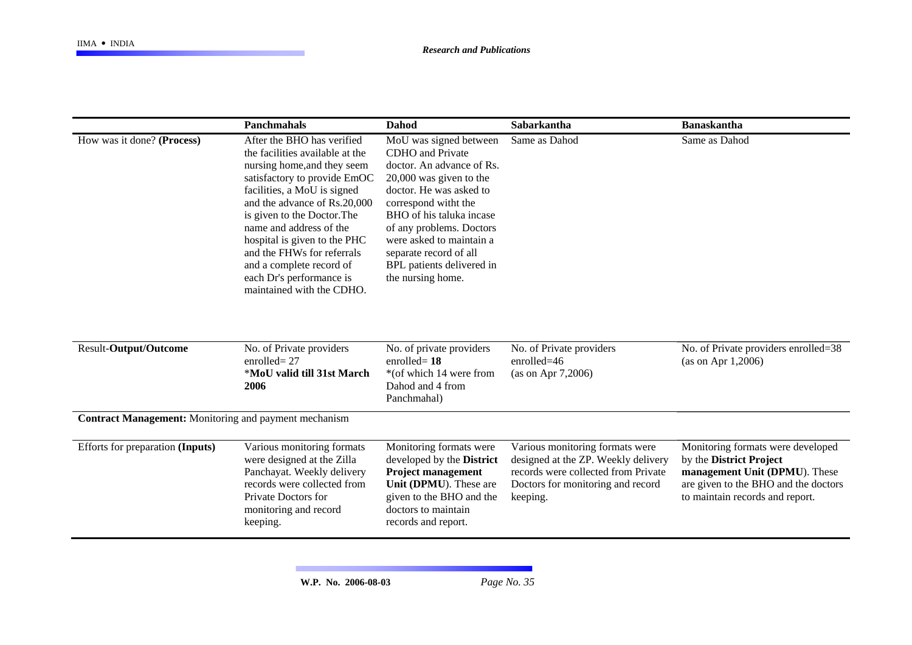|                                                              | Panchmahals                                                                                                                                                                                                                                                                                                                                                                                              | <b>Dahod</b>                                                                                                                                                                                                                                                                                                                   | Sabarkantha                                                                                                                                                    | <b>Banaskantha</b>                                                                                                                                                       |
|--------------------------------------------------------------|----------------------------------------------------------------------------------------------------------------------------------------------------------------------------------------------------------------------------------------------------------------------------------------------------------------------------------------------------------------------------------------------------------|--------------------------------------------------------------------------------------------------------------------------------------------------------------------------------------------------------------------------------------------------------------------------------------------------------------------------------|----------------------------------------------------------------------------------------------------------------------------------------------------------------|--------------------------------------------------------------------------------------------------------------------------------------------------------------------------|
| How was it done? (Process)                                   | After the BHO has verified<br>the facilities available at the<br>nursing home, and they seem<br>satisfactory to provide EmOC<br>facilities, a MoU is signed<br>and the advance of Rs.20,000<br>is given to the Doctor. The<br>name and address of the<br>hospital is given to the PHC<br>and the FHWs for referrals<br>and a complete record of<br>each Dr's performance is<br>maintained with the CDHO. | MoU was signed between<br><b>CDHO</b> and Private<br>doctor. An advance of Rs.<br>$20,000$ was given to the<br>doctor. He was asked to<br>correspond witht the<br>BHO of his taluka incase<br>of any problems. Doctors<br>were asked to maintain a<br>separate record of all<br>BPL patients delivered in<br>the nursing home. | Same as Dahod                                                                                                                                                  | Same as Dahod                                                                                                                                                            |
| <b>Result-Output/Outcome</b>                                 | No. of Private providers<br>enrolled $= 27$<br>*MoU valid till 31st March<br>2006                                                                                                                                                                                                                                                                                                                        | No. of private providers<br>enrolled $= 18$<br>*(of which 14 were from<br>Dahod and 4 from<br>Panchmahal)                                                                                                                                                                                                                      | No. of Private providers<br>$enrolled=46$<br>(as on Apr 7,2006)                                                                                                | No. of Private providers enrolled=38<br>(as on Apr $1,2006$ )                                                                                                            |
| <b>Contract Management:</b> Monitoring and payment mechanism |                                                                                                                                                                                                                                                                                                                                                                                                          |                                                                                                                                                                                                                                                                                                                                |                                                                                                                                                                |                                                                                                                                                                          |
| Efforts for preparation (Inputs)                             | Various monitoring formats<br>were designed at the Zilla<br>Panchayat. Weekly delivery<br>records were collected from<br>Private Doctors for<br>monitoring and record<br>keeping.                                                                                                                                                                                                                        | Monitoring formats were<br>developed by the District<br><b>Project management</b><br>Unit (DPMU). These are<br>given to the BHO and the<br>doctors to maintain<br>records and report.                                                                                                                                          | Various monitoring formats were<br>designed at the ZP. Weekly delivery<br>records were collected from Private<br>Doctors for monitoring and record<br>keeping. | Monitoring formats were developed<br>by the District Project<br>management Unit (DPMU). These<br>are given to the BHO and the doctors<br>to maintain records and report. |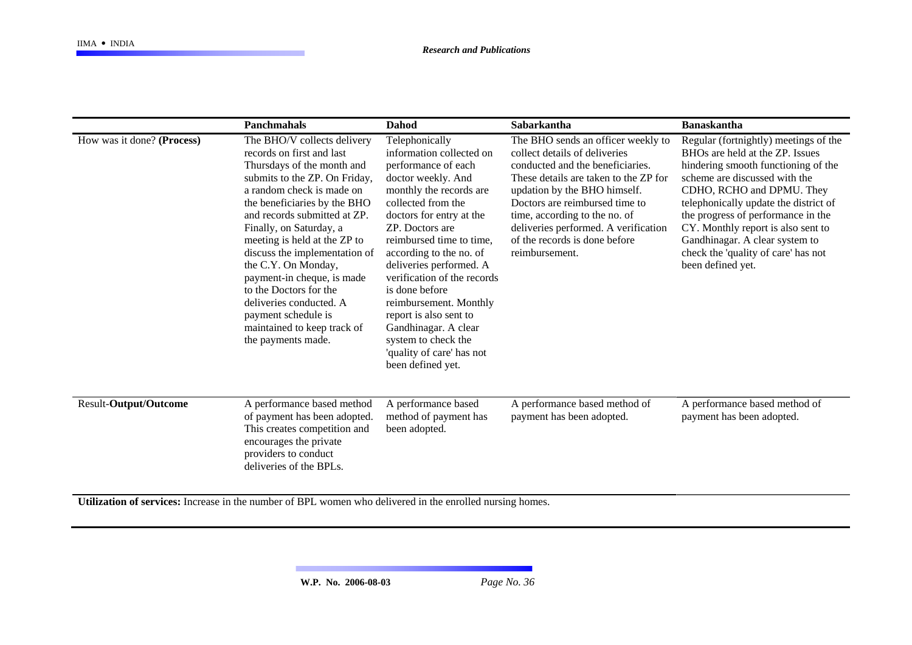|                              | <b>Panchmahals</b>                                                                                                                                                                                                                                                                                                                                                                                                                                                                                     | <b>Dahod</b>                                                                                                                                                                                                                                                                                                                                                                                                                                                                    | Sabarkantha                                                                                                                                                                                                                                                                                                                                    | <b>Banaskantha</b>                                                                                                                                                                                                                                                                                                                                                                               |
|------------------------------|--------------------------------------------------------------------------------------------------------------------------------------------------------------------------------------------------------------------------------------------------------------------------------------------------------------------------------------------------------------------------------------------------------------------------------------------------------------------------------------------------------|---------------------------------------------------------------------------------------------------------------------------------------------------------------------------------------------------------------------------------------------------------------------------------------------------------------------------------------------------------------------------------------------------------------------------------------------------------------------------------|------------------------------------------------------------------------------------------------------------------------------------------------------------------------------------------------------------------------------------------------------------------------------------------------------------------------------------------------|--------------------------------------------------------------------------------------------------------------------------------------------------------------------------------------------------------------------------------------------------------------------------------------------------------------------------------------------------------------------------------------------------|
| How was it done? (Process)   | The BHO/V collects delivery<br>records on first and last<br>Thursdays of the month and<br>submits to the ZP. On Friday,<br>a random check is made on<br>the beneficiaries by the BHO<br>and records submitted at ZP.<br>Finally, on Saturday, a<br>meeting is held at the ZP to<br>discuss the implementation of<br>the C.Y. On Monday,<br>payment-in cheque, is made<br>to the Doctors for the<br>deliveries conducted. A<br>payment schedule is<br>maintained to keep track of<br>the payments made. | Telephonically<br>information collected on<br>performance of each<br>doctor weekly. And<br>monthly the records are<br>collected from the<br>doctors for entry at the<br>ZP. Doctors are<br>reimbursed time to time,<br>according to the no. of<br>deliveries performed. A<br>verification of the records<br>is done before<br>reimbursement. Monthly<br>report is also sent to<br>Gandhinagar. A clear<br>system to check the<br>'quality of care' has not<br>been defined yet. | The BHO sends an officer weekly to<br>collect details of deliveries<br>conducted and the beneficiaries.<br>These details are taken to the ZP for<br>updation by the BHO himself.<br>Doctors are reimbursed time to<br>time, according to the no. of<br>deliveries performed. A verification<br>of the records is done before<br>reimbursement. | Regular (fortnightly) meetings of the<br>BHOs are held at the ZP. Issues<br>hindering smooth functioning of the<br>scheme are discussed with the<br>CDHO, RCHO and DPMU. They<br>telephonically update the district of<br>the progress of performance in the<br>CY. Monthly report is also sent to<br>Gandhinagar. A clear system to<br>check the 'quality of care' has not<br>been defined yet. |
| <b>Result-Output/Outcome</b> | A performance based method<br>of payment has been adopted.<br>This creates competition and<br>encourages the private<br>providers to conduct<br>deliveries of the BPLs.                                                                                                                                                                                                                                                                                                                                | A performance based<br>method of payment has<br>been adopted.                                                                                                                                                                                                                                                                                                                                                                                                                   | A performance based method of<br>payment has been adopted.                                                                                                                                                                                                                                                                                     | A performance based method of<br>payment has been adopted.                                                                                                                                                                                                                                                                                                                                       |

**Utilization of services:** Increase in the number of BPL women who delivered in the enrolled nursing homes.

**W.P. No. 2006-08-03** *Page No. 36*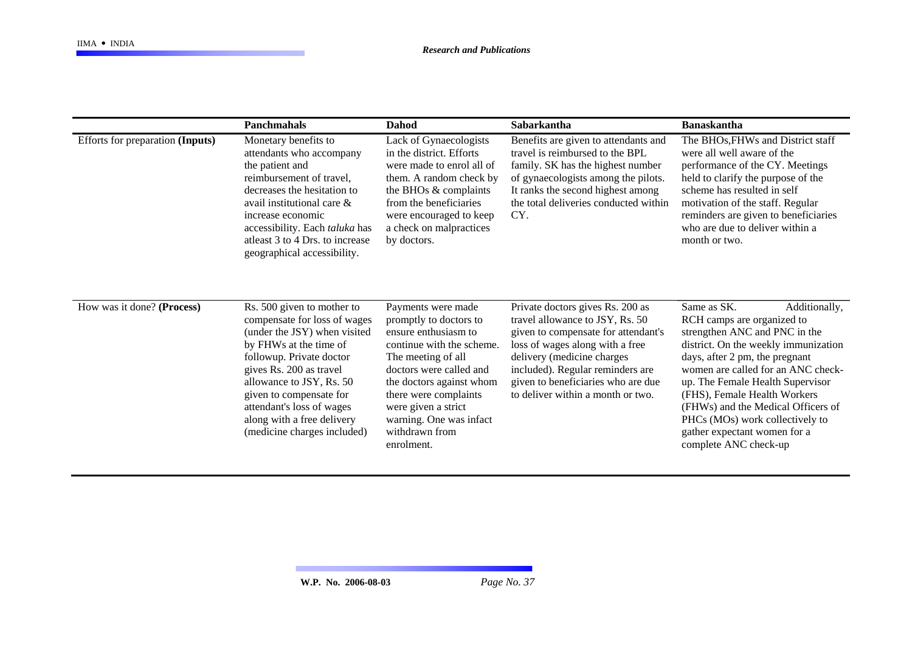|                                  | <b>Panchmahals</b>                                                                                                                                                                                                                                                                                                           | Dahod                                                                                                                                                                                                                                                                                     | <b>Sabarkantha</b>                                                                                                                                                                                                                                                                         | <b>Banaskantha</b>                                                                                                                                                                                                                                                                                                                                                                                                |
|----------------------------------|------------------------------------------------------------------------------------------------------------------------------------------------------------------------------------------------------------------------------------------------------------------------------------------------------------------------------|-------------------------------------------------------------------------------------------------------------------------------------------------------------------------------------------------------------------------------------------------------------------------------------------|--------------------------------------------------------------------------------------------------------------------------------------------------------------------------------------------------------------------------------------------------------------------------------------------|-------------------------------------------------------------------------------------------------------------------------------------------------------------------------------------------------------------------------------------------------------------------------------------------------------------------------------------------------------------------------------------------------------------------|
| Efforts for preparation (Inputs) | Monetary benefits to<br>attendants who accompany<br>the patient and<br>reimbursement of travel,<br>decreases the hesitation to<br>avail institutional care &<br>increase economic<br>accessibility. Each taluka has<br>at least 3 to 4 Drs. to increase<br>geographical accessibility.                                       | Lack of Gynaecologists<br>in the district. Efforts<br>were made to enrol all of<br>them. A random check by<br>the BHOs & complaints<br>from the beneficiaries<br>were encouraged to keep<br>a check on malpractices<br>by doctors.                                                        | Benefits are given to attendants and<br>travel is reimbursed to the BPL<br>family. SK has the highest number<br>of gynaecologists among the pilots.<br>It ranks the second highest among<br>the total deliveries conducted within<br>CY.                                                   | The BHOs, FHWs and District staff<br>were all well aware of the<br>performance of the CY. Meetings<br>held to clarify the purpose of the<br>scheme has resulted in self<br>motivation of the staff. Regular<br>reminders are given to beneficiaries<br>who are due to deliver within a<br>month or two.                                                                                                           |
| How was it done? (Process)       | Rs. 500 given to mother to<br>compensate for loss of wages<br>(under the JSY) when visited<br>by FHWs at the time of<br>followup. Private doctor<br>gives Rs. 200 as travel<br>allowance to JSY, Rs. 50<br>given to compensate for<br>attendant's loss of wages<br>along with a free delivery<br>(medicine charges included) | Payments were made<br>promptly to doctors to<br>ensure enthusiasm to<br>continue with the scheme.<br>The meeting of all<br>doctors were called and<br>the doctors against whom<br>there were complaints<br>were given a strict<br>warning. One was infact<br>withdrawn from<br>enrolment. | Private doctors gives Rs. 200 as<br>travel allowance to JSY, Rs. 50<br>given to compensate for attendant's<br>loss of wages along with a free<br>delivery (medicine charges<br>included). Regular reminders are<br>given to beneficiaries who are due<br>to deliver within a month or two. | Same as SK.<br>Additionally,<br>RCH camps are organized to<br>strengthen ANC and PNC in the<br>district. On the weekly immunization<br>days, after 2 pm, the pregnant<br>women are called for an ANC check-<br>up. The Female Health Supervisor<br>(FHS), Female Health Workers<br>(FHWs) and the Medical Officers of<br>PHCs (MOs) work collectively to<br>gather expectant women for a<br>complete ANC check-up |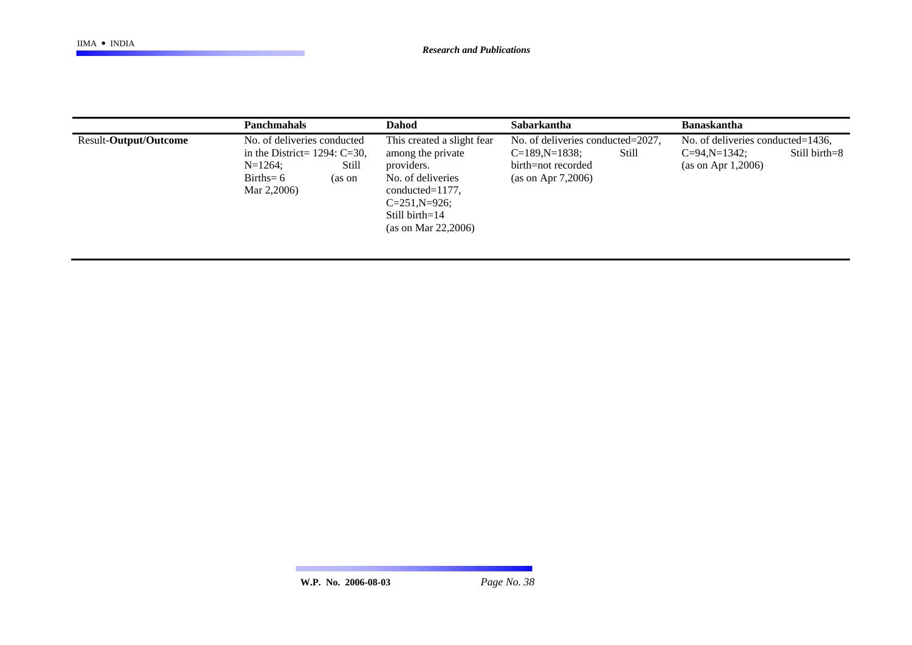|                       | <b>Panchmahals</b>                                                                                                            | <b>Dahod</b>                                                                                                                                                                     | Sabarkantha                                                                                                | <b>Banaskantha</b>                                                                              |
|-----------------------|-------------------------------------------------------------------------------------------------------------------------------|----------------------------------------------------------------------------------------------------------------------------------------------------------------------------------|------------------------------------------------------------------------------------------------------------|-------------------------------------------------------------------------------------------------|
| Result-Output/Outcome | No. of deliveries conducted<br>in the District= $1294:$ C=30,<br>Still<br>$N=1264$ ;<br>$Births = 6$<br>(as on<br>Mar 2,2006) | This created a slight fear<br>among the private<br>providers.<br>No. of deliveries<br>$conducted = 1177$ ,<br>$C = 251, N = 926;$<br>Still birth= $14$<br>(as on Mar $22,2006$ ) | No. of deliveries conducted=2027,<br>$C=189, N=1838;$<br>Still<br>birth=not recorded<br>(as on Apr 7,2006) | No. of deliveries conducted=1436,<br>Still birth=8<br>$C = 94, N = 1342;$<br>(as on Apr 1,2006) |